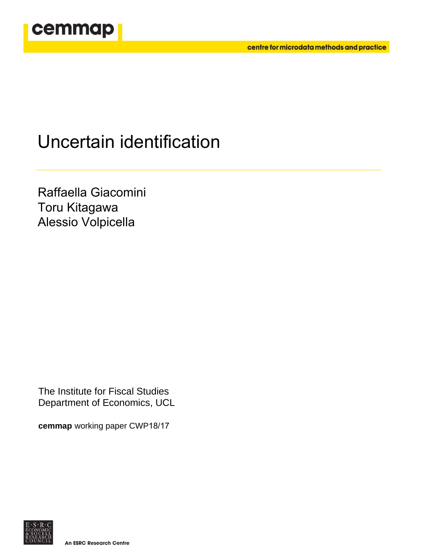

# Uncertain identification

Raffaella Giacomini Toru Kitagawa Alessio Volpicella

The Institute for Fiscal Studies Department of Economics, UCL

**cemmap** working paper CWP18/17



**An ESRC Research Centre**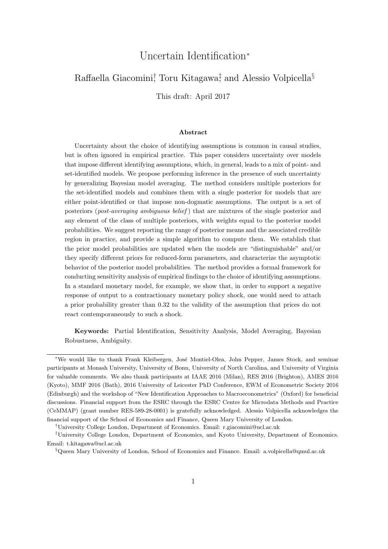## Uncertain Identification<sup>∗</sup>

## Raffaella Giacomini<sup>†</sup>, Toru Kitagawa<sup>‡</sup>, and Alessio Volpicella<sup>§</sup>

This draft: April 2017

## Abstract

Uncertainty about the choice of identifying assumptions is common in causal studies, but is often ignored in empirical practice. This paper considers uncertainty over models that impose different identifying assumptions, which, in general, leads to a mix of point- and set-identified models. We propose performing inference in the presence of such uncertainty by generalizing Bayesian model averaging. The method considers multiple posteriors for the set-identified models and combines them with a single posterior for models that are either point-identified or that impose non-dogmatic assumptions. The output is a set of posteriors (*post-averaging ambiguous belief*) that are mixtures of the single posterior and any element of the class of multiple posteriors, with weights equal to the posterior model probabilities. We suggest reporting the range of posterior means and the associated credible region in practice, and provide a simple algorithm to compute them. We establish that the prior model probabilities are updated when the models are "distinguishable" and/or they specify different priors for reduced-form parameters, and characterize the asymptotic behavior of the posterior model probabilities. The method provides a formal framework for conducting sensitivity analysis of empirical findings to the choice of identifying assumptions. In a standard monetary model, for example, we show that, in order to support a negative response of output to a contractionary monetary policy shock, one would need to attach a prior probability greater than 0.32 to the validity of the assumption that prices do not react contemporaneously to such a shock.

Keywords: Partial Identification, Sensitivity Analysis, Model Averaging, Bayesian Robustness, Ambiguity.

<sup>∗</sup>We would like to thank Frank Kleibergen, Jos´e Montiel-Olea, John Pepper, James Stock, and seminar participants at Monash University, University of Bonn, University of North Carolina, and University of Virginia for valuable comments. We also thank participants at IAAE 2016 (Milan), RES 2016 (Brighton), AMES 2016 (Kyoto), MMF 2016 (Bath), 2016 University of Leicester PhD Conference, EWM of Econometric Society 2016 (Edinburgh) and the workshop of "New Identification Approaches to Macroeconometrics" (Oxford) for beneficial discussions. Financial support from the ESRC through the ESRC Centre for Microdata Methods and Practice (CeMMAP) (grant number RES-589-28-0001) is gratefully acknowledged. Alessio Volpicella acknowledges the financial support of the School of Economics and Finance, Queen Mary University of London.

<sup>†</sup>University College London, Department of Economics. Email: r.giacomini@ucl.ac.uk

<sup>‡</sup>University College London, Department of Economics, and Kyoto University, Department of Economics. Email: t.kitagawa@ucl.ac.uk

<sup>§</sup>Queen Mary University of London, School of Economics and Finance. Email: a.volpicella@qmul.ac.uk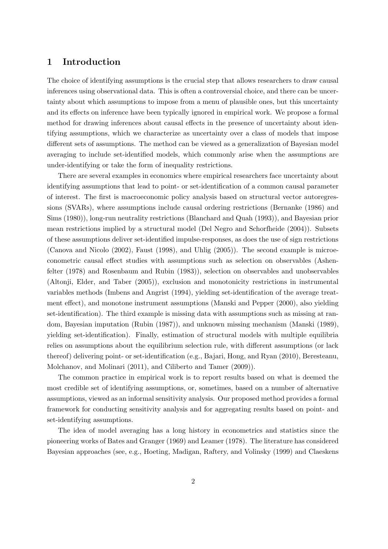## 1 Introduction

The choice of identifying assumptions is the crucial step that allows researchers to draw causal inferences using observational data. This is often a controversial choice, and there can be uncertainty about which assumptions to impose from a menu of plausible ones, but this uncertainty and its effects on inference have been typically ignored in empirical work. We propose a formal method for drawing inferences about causal effects in the presence of uncertainty about identifying assumptions, which we characterize as uncertainty over a class of models that impose different sets of assumptions. The method can be viewed as a generalization of Bayesian model averaging to include set-identified models, which commonly arise when the assumptions are under-identifying or take the form of inequality restrictions.

There are several examples in economics where empirical researchers face uncertainty about identifying assumptions that lead to point- or set-identification of a common causal parameter of interest. The first is macroeconomic policy analysis based on structural vector autoregressions (SVARs), where assumptions include causal ordering restrictions (Bernanke (1986) and Sims (1980)), long-run neutrality restrictions (Blanchard and Quah (1993)), and Bayesian prior mean restrictions implied by a structural model (Del Negro and Schorfheide (2004)). Subsets of these assumptions deliver set-identified impulse-responses, as does the use of sign restrictions (Canova and Nicolo (2002), Faust (1998), and Uhlig (2005)). The second example is microeconometric causal effect studies with assumptions such as selection on observables (Ashenfelter (1978) and Rosenbaum and Rubin (1983)), selection on observables and unobservables (Altonji, Elder, and Taber (2005)), exclusion and monotonicity restrictions in instrumental variables methods (Imbens and Angrist (1994), yielding set-identification of the average treatment effect), and monotone instrument assumptions (Manski and Pepper (2000), also yielding set-identification). The third example is missing data with assumptions such as missing at random, Bayesian imputation (Rubin (1987)), and unknown missing mechanism (Manski (1989), yielding set-identification). Finally, estimation of structural models with multiple equilibria relies on assumptions about the equilibrium selection rule, with different assumptions (or lack thereof) delivering point- or set-identification (e.g., Bajari, Hong, and Ryan (2010), Beresteanu, Molchanov, and Molinari (2011), and Ciliberto and Tamer (2009)).

The common practice in empirical work is to report results based on what is deemed the most credible set of identifying assumptions, or, sometimes, based on a number of alternative assumptions, viewed as an informal sensitivity analysis. Our proposed method provides a formal framework for conducting sensitivity analysis and for aggregating results based on point- and set-identifying assumptions.

The idea of model averaging has a long history in econometrics and statistics since the pioneering works of Bates and Granger (1969) and Leamer (1978). The literature has considered Bayesian approaches (see, e.g., Hoeting, Madigan, Raftery, and Volinsky (1999) and Claeskens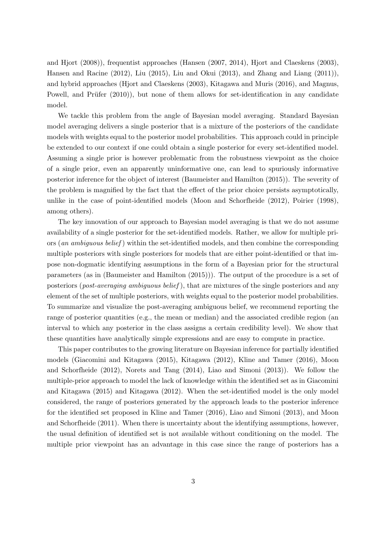and Hjort (2008)), frequentist approaches (Hansen (2007, 2014), Hjort and Claeskens (2003), Hansen and Racine (2012), Liu (2015), Liu and Okui (2013), and Zhang and Liang (2011)), and hybrid approaches (Hjort and Claeskens (2003), Kitagawa and Muris (2016), and Magnus, Powell, and Prüfer  $(2010)$ ), but none of them allows for set-identification in any candidate model.

We tackle this problem from the angle of Bayesian model averaging. Standard Bayesian model averaging delivers a single posterior that is a mixture of the posteriors of the candidate models with weights equal to the posterior model probabilities. This approach could in principle be extended to our context if one could obtain a single posterior for every set-identified model. Assuming a single prior is however problematic from the robustness viewpoint as the choice of a single prior, even an apparently uninformative one, can lead to spuriously informative posterior inference for the object of interest (Baumeister and Hamilton (2015)). The severity of the problem is magnified by the fact that the effect of the prior choice persists asymptotically, unlike in the case of point-identified models (Moon and Schorfheide (2012), Poirier (1998), among others).

The key innovation of our approach to Bayesian model averaging is that we do not assume availability of a single posterior for the set-identified models. Rather, we allow for multiple priors (an ambiguous belief) within the set-identified models, and then combine the corresponding multiple posteriors with single posteriors for models that are either point-identified or that impose non-dogmatic identifying assumptions in the form of a Bayesian prior for the structural parameters (as in (Baumeister and Hamilton (2015))). The output of the procedure is a set of posteriors (post-averaging ambiguous belief ), that are mixtures of the single posteriors and any element of the set of multiple posteriors, with weights equal to the posterior model probabilities. To summarize and visualize the post-averaging ambiguous belief, we recommend reporting the range of posterior quantities (e.g., the mean or median) and the associated credible region (an interval to which any posterior in the class assigns a certain credibility level). We show that these quantities have analytically simple expressions and are easy to compute in practice.

This paper contributes to the growing literature on Bayesian inference for partially identified models (Giacomini and Kitagawa (2015), Kitagawa (2012), Kline and Tamer (2016), Moon and Schorfheide (2012), Norets and Tang (2014), Liao and Simoni (2013)). We follow the multiple-prior approach to model the lack of knowledge within the identified set as in Giacomini and Kitagawa (2015) and Kitagawa (2012). When the set-identified model is the only model considered, the range of posteriors generated by the approach leads to the posterior inference for the identified set proposed in Kline and Tamer (2016), Liao and Simoni (2013), and Moon and Schorfheide (2011). When there is uncertainty about the identifying assumptions, however, the usual definition of identified set is not available without conditioning on the model. The multiple prior viewpoint has an advantage in this case since the range of posteriors has a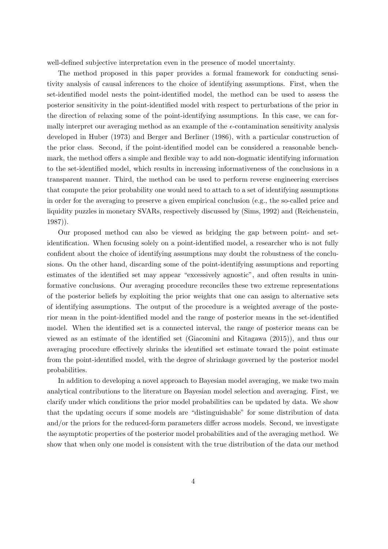well-defined subjective interpretation even in the presence of model uncertainty.

The method proposed in this paper provides a formal framework for conducting sensitivity analysis of causal inferences to the choice of identifying assumptions. First, when the set-identified model nests the point-identified model, the method can be used to assess the posterior sensitivity in the point-identified model with respect to perturbations of the prior in the direction of relaxing some of the point-identifying assumptions. In this case, we can formally interpret our averaging method as an example of the  $\epsilon$ -contamination sensitivity analysis developed in Huber (1973) and Berger and Berliner (1986), with a particular construction of the prior class. Second, if the point-identified model can be considered a reasonable benchmark, the method offers a simple and flexible way to add non-dogmatic identifying information to the set-identified model, which results in increasing informativeness of the conclusions in a transparent manner. Third, the method can be used to perform reverse engineering exercises that compute the prior probability one would need to attach to a set of identifying assumptions in order for the averaging to preserve a given empirical conclusion (e.g., the so-called price and liquidity puzzles in monetary SVARs, respectively discussed by (Sims, 1992) and (Reichenstein, 1987)).

Our proposed method can also be viewed as bridging the gap between point- and setidentification. When focusing solely on a point-identified model, a researcher who is not fully confident about the choice of identifying assumptions may doubt the robustness of the conclusions. On the other hand, discarding some of the point-identifying assumptions and reporting estimates of the identified set may appear "excessively agnostic", and often results in uninformative conclusions. Our averaging procedure reconciles these two extreme representations of the posterior beliefs by exploiting the prior weights that one can assign to alternative sets of identifying assumptions. The output of the procedure is a weighted average of the posterior mean in the point-identified model and the range of posterior means in the set-identified model. When the identified set is a connected interval, the range of posterior means can be viewed as an estimate of the identified set (Giacomini and Kitagawa (2015)), and thus our averaging procedure effectively shrinks the identified set estimate toward the point estimate from the point-identified model, with the degree of shrinkage governed by the posterior model probabilities.

In addition to developing a novel approach to Bayesian model averaging, we make two main analytical contributions to the literature on Bayesian model selection and averaging. First, we clarify under which conditions the prior model probabilities can be updated by data. We show that the updating occurs if some models are "distinguishable" for some distribution of data and/or the priors for the reduced-form parameters differ across models. Second, we investigate the asymptotic properties of the posterior model probabilities and of the averaging method. We show that when only one model is consistent with the true distribution of the data our method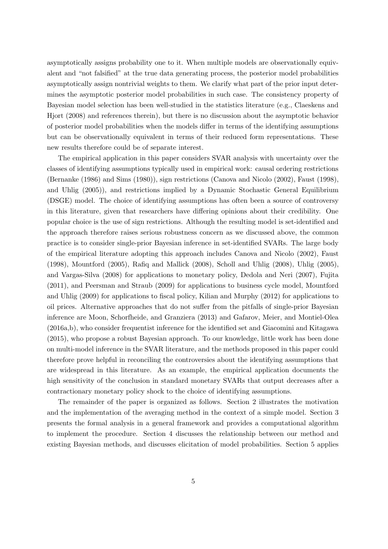asymptotically assigns probability one to it. When multiple models are observationally equivalent and "not falsified" at the true data generating process, the posterior model probabilities asymptotically assign nontrivial weights to them. We clarify what part of the prior input determines the asymptotic posterior model probabilities in such case. The consistency property of Bayesian model selection has been well-studied in the statistics literature (e.g., Claeskens and Hjort (2008) and references therein), but there is no discussion about the asymptotic behavior of posterior model probabilities when the models differ in terms of the identifying assumptions but can be observationally equivalent in terms of their reduced form representations. These new results therefore could be of separate interest.

The empirical application in this paper considers SVAR analysis with uncertainty over the classes of identifying assumptions typically used in empirical work: causal ordering restrictions (Bernanke (1986) and Sims (1980)), sign restrictions (Canova and Nicolo (2002), Faust (1998), and Uhlig (2005)), and restrictions implied by a Dynamic Stochastic General Equilibrium (DSGE) model. The choice of identifying assumptions has often been a source of controversy in this literature, given that researchers have differing opinions about their credibility. One popular choice is the use of sign restrictions. Although the resulting model is set-identified and the approach therefore raises serious robustness concern as we discussed above, the common practice is to consider single-prior Bayesian inference in set-identified SVARs. The large body of the empirical literature adopting this approach includes Canova and Nicolo (2002), Faust (1998), Mountford (2005), Rafiq and Mallick (2008), Scholl and Uhlig (2008), Uhlig (2005), and Vargas-Silva (2008) for applications to monetary policy, Dedola and Neri (2007), Fujita (2011), and Peersman and Straub (2009) for applications to business cycle model, Mountford and Uhlig (2009) for applications to fiscal policy, Kilian and Murphy (2012) for applications to oil prices. Alternative approaches that do not suffer from the pitfalls of single-prior Bayesian inference are Moon, Schorfheide, and Granziera (2013) and Gafarov, Meier, and Montiel-Olea (2016a,b), who consider frequentist inference for the identified set and Giacomini and Kitagawa (2015), who propose a robust Bayesian approach. To our knowledge, little work has been done on multi-model inference in the SVAR literature, and the methods proposed in this paper could therefore prove helpful in reconciling the controversies about the identifying assumptions that are widespread in this literature. As an example, the empirical application documents the high sensitivity of the conclusion in standard monetary SVARs that output decreases after a contractionary monetary policy shock to the choice of identifying assumptions.

The remainder of the paper is organized as follows. Section 2 illustrates the motivation and the implementation of the averaging method in the context of a simple model. Section 3 presents the formal analysis in a general framework and provides a computational algorithm to implement the procedure. Section 4 discusses the relationship between our method and existing Bayesian methods, and discusses elicitation of model probabilities. Section 5 applies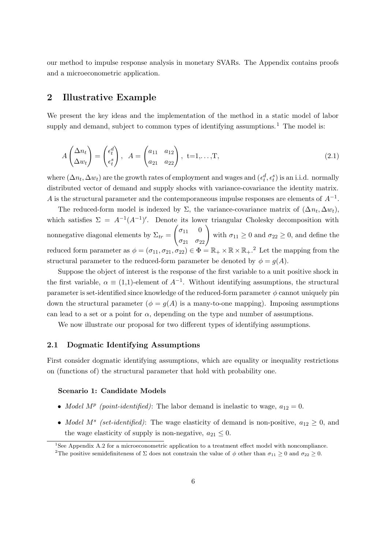our method to impulse response analysis in monetary SVARs. The Appendix contains proofs and a microeconometric application.

## 2 Illustrative Example

We present the key ideas and the implementation of the method in a static model of labor supply and demand, subject to common types of identifying assumptions.<sup>1</sup> The model is:

$$
A\begin{pmatrix} \Delta n_t \\ \Delta w_t \end{pmatrix} = \begin{pmatrix} \epsilon_t^d \\ \epsilon_t^s \end{pmatrix}, \quad A = \begin{pmatrix} a_{11} & a_{12} \\ a_{21} & a_{22} \end{pmatrix}, \quad t = 1, \dots, T,
$$
\n(2.1)

where  $(\Delta n_t, \Delta w_t)$  are the growth rates of employment and wages and  $(\epsilon_t^d, \epsilon_t^s)$  is an i.i.d. normally distributed vector of demand and supply shocks with variance-covariance the identity matrix. A is the structural parameter and the contemporaneous impulse responses are elements of  $A^{-1}$ .

The reduced-form model is indexed by  $\Sigma$ , the variance-covariance matrix of  $(\Delta n_t, \Delta w_t)$ , which satisfies  $\Sigma = A^{-1}(A^{-1})'$ . Denote its lower triangular Cholesky decomposition with nonnegative diagonal elements by  $\Sigma_{tr} =$  $\begin{pmatrix} \sigma_{11} & 0 \\ \sigma_{21} & \sigma_{22} \end{pmatrix}$  with  $\sigma_{11} \ge 0$  and  $\sigma_{22} \ge 0$ , and define the reduced form parameter as  $\phi = (\sigma_{11}, \sigma_{21}, \sigma_{22}) \in \Phi = \mathbb{R}_+ \times \mathbb{R} \times \mathbb{R}_+$ .<sup>2</sup> Let the mapping from the structural parameter to the reduced-form parameter be denoted by  $\phi = g(A)$ .

Suppose the object of interest is the response of the first variable to a unit positive shock in the first variable,  $\alpha \equiv (1,1)$ -element of  $A^{-1}$ . Without identifying assumptions, the structural parameter is set-identified since knowledge of the reduced-form parameter  $\phi$  cannot uniquely pin down the structural parameter ( $\phi = q(A)$  is a many-to-one mapping). Imposing assumptions can lead to a set or a point for  $\alpha$ , depending on the type and number of assumptions.

We now illustrate our proposal for two different types of identifying assumptions.

### 2.1 Dogmatic Identifying Assumptions

First consider dogmatic identifying assumptions, which are equality or inequality restrictions on (functions of) the structural parameter that hold with probability one.

#### Scenario 1: Candidate Models

- *Model M<sup>p</sup>* (point-identified): The labor demand is inelastic to wage,  $a_{12} = 0$ .
- *Model M<sup>s</sup>* (set-identified): The wage elasticity of demand is non-positive,  $a_{12} \geq 0$ , and the wage elasticity of supply is non-negative,  $a_{21} \leq 0$ .

<sup>&</sup>lt;sup>1</sup>See Appendix A.2 for a microeconometric application to a treatment effect model with noncompliance. <sup>2</sup>The positive semidefiniteness of  $\Sigma$  does not constrain the value of  $\phi$  other than  $\sigma_{11} \geq 0$  and  $\sigma_{22} \geq 0$ .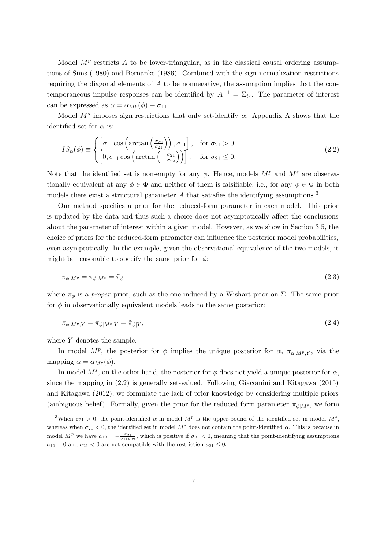Model  $M^p$  restricts A to be lower-triangular, as in the classical causal ordering assumptions of Sims (1980) and Bernanke (1986). Combined with the sign normalization restrictions requiring the diagonal elements of  $A$  to be nonnegative, the assumption implies that the contemporaneous impulse responses can be identified by  $A^{-1} = \Sigma_{tr}$ . The parameter of interest can be expressed as  $\alpha = \alpha_{M}(\phi) \equiv \sigma_{11}$ .

Model  $M<sup>s</sup>$  imposes sign restrictions that only set-identify  $\alpha$ . Appendix A shows that the identified set for  $\alpha$  is:

$$
IS_{\alpha}(\phi) \equiv \begin{cases} \left[\sigma_{11} \cos \left(\arctan \left(\frac{\sigma_{22}}{\sigma_{21}}\right)\right), \sigma_{11}\right], & \text{for } \sigma_{21} > 0, \\ \left[0, \sigma_{11} \cos \left(\arctan \left(-\frac{\sigma_{21}}{\sigma_{22}}\right)\right)\right], & \text{for } \sigma_{21} \le 0. \end{cases}
$$
(2.2)

Note that the identified set is non-empty for any  $\phi$ . Hence, models  $M^p$  and  $M^s$  are observationally equivalent at any  $\phi \in \Phi$  and neither of them is falsifiable, i.e., for any  $\phi \in \Phi$  in both models there exist a structural parameter  $A$  that satisfies the identifying assumptions.<sup>3</sup>

Our method specifies a prior for the reduced-form parameter in each model. This prior is updated by the data and thus such a choice does not asymptotically affect the conclusions about the parameter of interest within a given model. However, as we show in Section 3.5, the choice of priors for the reduced-form parameter can influence the posterior model probabilities, even asymptotically. In the example, given the observational equivalence of the two models, it might be reasonable to specify the same prior for  $\phi$ :

$$
\pi_{\phi|M^p} = \pi_{\phi|M^s} = \tilde{\pi}_{\phi} \tag{2.3}
$$

where  $\tilde{\pi}_{\phi}$  is a *proper* prior, such as the one induced by a Wishart prior on  $\Sigma$ . The same prior for  $\phi$  in observationally equivalent models leads to the same posterior:

$$
\pi_{\phi|M^p,Y} = \pi_{\phi|M^s,Y} = \tilde{\pi}_{\phi|Y},\tag{2.4}
$$

where Y denotes the sample.

In model  $M^p$ , the posterior for  $\phi$  implies the unique posterior for  $\alpha$ ,  $\pi_{\alpha|M^p,Y}$ , via the mapping  $\alpha = \alpha_{M^p}(\phi)$ .

In model  $M^s$ , on the other hand, the posterior for  $\phi$  does not yield a unique posterior for  $\alpha$ , since the mapping in (2.2) is generally set-valued. Following Giacomini and Kitagawa (2015) and Kitagawa (2012), we formulate the lack of prior knowledge by considering multiple priors (ambiguous belief). Formally, given the prior for the reduced form parameter  $\pi_{\phi|M^s}$ , we form

<sup>&</sup>lt;sup>3</sup>When  $\sigma_{21} > 0$ , the point-identified  $\alpha$  in model  $M^p$  is the upper-bound of the identified set in model  $M^s$ , whereas when  $\sigma_{21} < 0$ , the identified set in model  $M^s$  does not contain the point-identified  $\alpha$ . This is because in model  $M^p$  we have  $a_{12} = -\frac{\sigma_{21}}{\sigma_{11}\sigma_{22}}$ , which is positive if  $\sigma_{21} < 0$ , meaning that the point-identifying assumptions  $a_{12} = 0$  and  $\sigma_{21} < 0$  are not compatible with the restriction  $a_{21} \leq 0$ .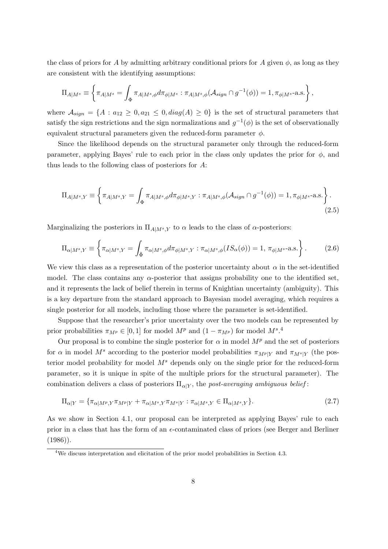the class of priors for A by admitting arbitrary conditional priors for A given  $\phi$ , as long as they are consistent with the identifying assumptions:

$$
\Pi_{A|M^s} \equiv \left\{ \pi_{A|M^s} = \int_{\Phi} \pi_{A|M^s, \phi} d\pi_{\phi|M^s} : \pi_{A|M^s, \phi}(\mathcal{A}_{sign} \cap g^{-1}(\phi)) = 1, \pi_{\phi|M^s} \text{-a.s.} \right\},\
$$

where  $\mathcal{A}_{sign} = \{A : a_{12} \geq 0, a_{21} \leq 0, diag(A) \geq 0\}$  is the set of structural parameters that satisfy the sign restrictions and the sign normalizations and  $g^{-1}(\phi)$  is the set of observationally equivalent structural parameters given the reduced-form parameter  $\phi$ .

Since the likelihood depends on the structural parameter only through the reduced-form parameter, applying Bayes' rule to each prior in the class only updates the prior for  $\phi$ , and thus leads to the following class of posteriors for A:

$$
\Pi_{A|M^s,Y} \equiv \left\{ \pi_{A|M^s,Y} = \int_{\Phi} \pi_{A|M^s,\phi} d\pi_{\phi|M^s,Y} : \pi_{A|M^s,\phi}(\mathcal{A}_{sign} \cap g^{-1}(\phi)) = 1, \pi_{\phi|M^s} \text{-a.s.} \right\}.
$$
\n(2.5)

Marginalizing the posteriors in  $\Pi_{A|M^s,Y}$  to  $\alpha$  leads to the class of  $\alpha$ -posteriors:

$$
\Pi_{\alpha|M^s,Y} \equiv \left\{ \pi_{\alpha|M^s,Y} = \int_{\tilde{\Phi}} \pi_{\alpha|M^s,\phi} d\pi_{\phi|M^s,Y} : \pi_{\alpha|M^s,\phi}(IS_{\alpha}(\phi)) = 1, \pi_{\phi|M^s} - a.s. \right\}.
$$
 (2.6)

We view this class as a representation of the posterior uncertainty about  $\alpha$  in the set-identified model. The class contains any  $\alpha$ -posterior that assigns probability one to the identified set, and it represents the lack of belief therein in terms of Knightian uncertainty (ambiguity). This is a key departure from the standard approach to Bayesian model averaging, which requires a single posterior for all models, including those where the parameter is set-identified.

Suppose that the researcher's prior uncertainty over the two models can be represented by prior probabilities  $\pi_{M^p} \in [0,1]$  for model  $M^p$  and  $(1 - \pi_{M^p})$  for model  $M^s$ .<sup>4</sup>

Our proposal is to combine the single posterior for  $\alpha$  in model  $M^p$  and the set of posteriors for  $\alpha$  in model M<sup>s</sup> according to the posterior model probabilities  $\pi_{M^p|Y}$  and  $\pi_{M^s|Y}$  (the posterior model probability for model  $M<sup>s</sup>$  depends only on the single prior for the reduced-form parameter, so it is unique in spite of the multiple priors for the structural parameter). The combination delivers a class of posteriors  $\Pi_{\alpha|Y}$ , the post-averaging ambiguous belief:

$$
\Pi_{\alpha|Y} = \{\pi_{\alpha|M^p, Y}\pi_{M^p|Y} + \pi_{\alpha|M^s, Y}\pi_{M^s|Y} : \pi_{\alpha|M^s, Y} \in \Pi_{\alpha|M^s, Y} \}.
$$
\n(2.7)

As we show in Section 4.1, our proposal can be interpreted as applying Bayes' rule to each prior in a class that has the form of an  $\epsilon$ -contaminated class of priors (see Berger and Berliner  $(1986)$ .

<sup>&</sup>lt;sup>4</sup>We discuss interpretation and elicitation of the prior model probabilities in Section 4.3.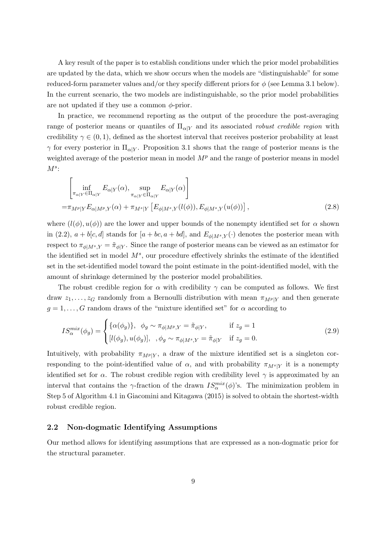A key result of the paper is to establish conditions under which the prior model probabilities are updated by the data, which we show occurs when the models are "distinguishable" for some reduced-form parameter values and/or they specify different priors for  $\phi$  (see Lemma 3.1 below). In the current scenario, the two models are indistinguishable, so the prior model probabilities are not updated if they use a common  $\phi$ -prior.

In practice, we recommend reporting as the output of the procedure the post-averaging range of posterior means or quantiles of  $\Pi_{\alpha|Y}$  and its associated robust credible region with credibility  $\gamma \in (0, 1)$ , defined as the shortest interval that receives posterior probability at least  $\gamma$  for every posterior in  $\Pi_{\alpha|Y}$ . Proposition 3.1 shows that the range of posterior means is the weighted average of the posterior mean in model  $M<sup>p</sup>$  and the range of posterior means in model  $M^s$ :

$$
\left[\inf_{\pi_{\alpha|Y}\in\Pi_{\alpha|Y}} E_{\alpha|Y}(\alpha), \sup_{\pi_{\alpha|Y}\in\Pi_{\alpha|Y}} E_{\alpha|Y}(\alpha)\right]
$$
\n
$$
=\pi_{M^{p}|Y} E_{\alpha|M^{p},Y}(\alpha) + \pi_{M^{s}|Y} \left[E_{\phi|M^{s},Y}(l(\phi)), E_{\phi|M^{s},Y}(u(\phi))\right],
$$
\n(2.8)

where  $(l(\phi), u(\phi))$  are the lower and upper bounds of the nonempty identified set for  $\alpha$  shown in (2.2),  $a + b[c, d]$  stands for  $[a + bc, a + bd]$ , and  $E_{\phi|M^s, Y}(\cdot)$  denotes the posterior mean with respect to  $\pi_{\phi|M^s,Y} = \tilde{\pi}_{\phi|Y}$ . Since the range of posterior means can be viewed as an estimator for the identified set in model  $M<sup>s</sup>$ , our procedure effectively shrinks the estimate of the identified set in the set-identified model toward the point estimate in the point-identified model, with the amount of shrinkage determined by the posterior model probabilities.

The robust credible region for  $\alpha$  with credibility  $\gamma$  can be computed as follows. We first draw  $z_1, \ldots, z_G$  randomly from a Bernoulli distribution with mean  $\pi_{M^p|Y}$  and then generate  $g = 1, \ldots, G$  random draws of the "mixture identified set" for  $\alpha$  according to

$$
IS_{\alpha}^{mix}(\phi_g) = \begin{cases} {\alpha(\phi_g)}, & \phi_g \sim \pi_{\phi|M^p, Y} = \tilde{\pi}_{\phi|Y}, & \text{if } z_g = 1\\ [l(\phi_g), u(\phi_g)], & , \phi_g \sim \pi_{\phi|M^s, Y} = \tilde{\pi}_{\phi|Y} & \text{if } z_g = 0. \end{cases}
$$
(2.9)

Intuitively, with probability  $\pi_{M^p|Y}$ , a draw of the mixture identified set is a singleton corresponding to the point-identified value of  $\alpha$ , and with probability  $\pi_{M^{s}|Y}$  it is a nonempty identified set for  $\alpha$ . The robust credible region with credibility level  $\gamma$  is approximated by an interval that contains the  $\gamma$ -fraction of the drawn  $IS_\alpha^{mix}(\phi)$ 's. The minimization problem in Step 5 of Algorithm 4.1 in Giacomini and Kitagawa (2015) is solved to obtain the shortest-width robust credible region.

## 2.2 Non-dogmatic Identifying Assumptions

Our method allows for identifying assumptions that are expressed as a non-dogmatic prior for the structural parameter.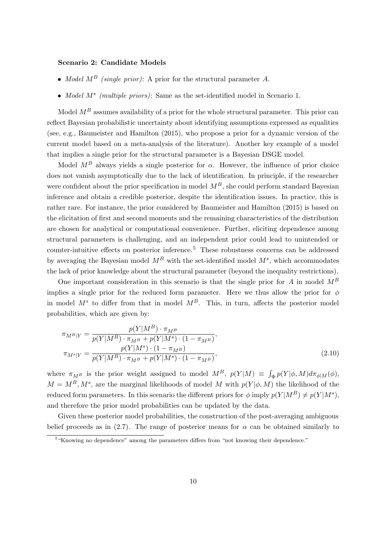## Scenario 2: Candidate Models

- Model  $M^B$  (single prior): A prior for the structural parameter A.
- Model  $M^s$  (multiple priors): Same as the set-identified model in Scenario 1.

Model  $M^B$  assumes availability of a prior for the whole structural parameter. This prior can reflect Bayesian probabilistic uncertainty about identifying assumptions expressed as equalities (see, e.g., Baumeister and Hamilton (2015), who propose a prior for a dynamic version of the current model based on a meta-analysis of the literature). Another key example of a model that implies a single prior for the structural parameter is a Bayesian DSGE model.

Model  $M^B$  always yields a single posterior for  $\alpha$ . However, the influence of prior choice does not vanish asymptotically due to the lack of identification. In principle, if the researcher were confident about the prior specification in model  $M^B$ , she could perform standard Bayesian inference and obtain a credible posterior, despite the identification issues. In practice, this is rather rare. For instance, the prior considered by Baumeister and Hamilton (2015) is based on the elicitation of first and second moments and the remaining characteristics of the distribution are chosen for analytical or computational convenience. Further, eliciting dependence among structural parameters is challenging, and an independent prior could lead to unintended or counter-intuitive effects on posterior inference.<sup>5</sup> These robustness concerns can be addressed by averaging the Bayesian model  $M^B$  with the set-identified model  $M^s$ , which accommodates the lack of prior knowledge about the structural parameter (beyond the inequality restrictions).

One important consideration in this scenario is that the single prior for A in model  $M^B$ implies a single prior for the reduced form parameter. Here we thus allow the prior for  $\phi$ in model  $M^s$  to differ from that in model  $M^B$ . This, in turn, affects the posterior model probabilities, which are given by:

$$
\pi_{M^{B}|Y} = \frac{p(Y|M^{B}) \cdot \pi_{M^{B}}}{p(Y|M^{B}) \cdot \pi_{M^{B}} + p(Y|M^{s}) \cdot (1 - \pi_{M^{B}})},
$$
  
\n
$$
\pi_{M^{s}|Y} = \frac{p(Y|M^{s}) \cdot (1 - \pi_{M^{B}})}{p(Y|M^{B}) \cdot \pi_{M^{B}} + p(Y|M^{s}) \cdot (1 - \pi_{M^{B}})},
$$
\n(2.10)

where  $\pi_{M^B}$  is the prior weight assigned to model  $M^B$ ,  $p(Y|M) \equiv \int_{\Phi} p(Y|\phi, M) d\pi_{\phi|M}(\phi)$ ,  $M = M^B, M^s$ , are the marginal likelihoods of model M with  $p(Y|\phi, M)$  the likelihood of the reduced form parameters. In this scenario the different priors for  $\phi$  imply  $p(Y|M^B) \neq p(Y|M^s)$ , and therefore the prior model probabilities can be updated by the data.

Given these posterior model probabilities, the construction of the post-averaging ambiguous belief proceeds as in (2.7). The range of posterior means for  $\alpha$  can be obtained similarly to

<sup>&</sup>lt;sup>5</sup> "Knowing no dependence" among the parameters differs from "not knowing their dependence."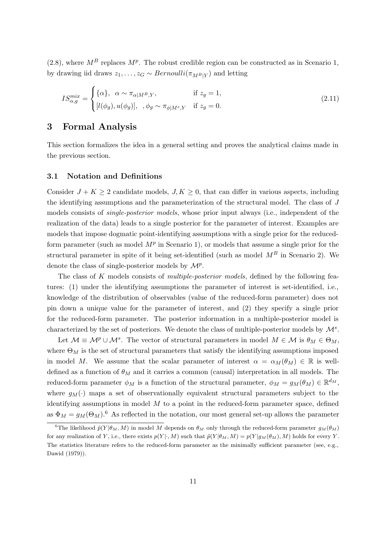(2.8), where  $M^B$  replaces  $M^p$ . The robust credible region can be constructed as in Scenario 1, by drawing iid draws  $z_1, \ldots, z_G \sim Bernoulli(\pi_{M^B|Y})$  and letting

$$
IS_{\alpha,g}^{mix} = \begin{cases} {\alpha}, & \alpha \sim \pi_{\alpha|M^B,Y}, & \text{if } z_g = 1, \\ [l(\phi_g), u(\phi_g)], & , \phi_g \sim \pi_{\phi|M^s,Y} & \text{if } z_g = 0. \end{cases}
$$
 (2.11)

## 3 Formal Analysis

This section formalizes the idea in a general setting and proves the analytical claims made in the previous section.

## 3.1 Notation and Definitions

Consider  $J + K \geq 2$  candidate models,  $J, K \geq 0$ , that can differ in various aspects, including the identifying assumptions and the parameterization of the structural model. The class of J models consists of single-posterior models, whose prior input always (i.e., independent of the realization of the data) leads to a single posterior for the parameter of interest. Examples are models that impose dogmatic point-identifying assumptions with a single prior for the reducedform parameter (such as model  $M^p$  in Scenario 1), or models that assume a single prior for the structural parameter in spite of it being set-identified (such as model  $M^B$  in Scenario 2). We denote the class of single-posterior models by  $\mathcal{M}^p$ .

The class of K models consists of *multiple-posterior models*, defined by the following features: (1) under the identifying assumptions the parameter of interest is set-identified, i.e., knowledge of the distribution of observables (value of the reduced-form parameter) does not pin down a unique value for the parameter of interest, and (2) they specify a single prior for the reduced-form parameter. The posterior information in a multiple-posterior model is characterized by the set of posteriors. We denote the class of multiple-posterior models by  $\mathcal{M}^s$ .

Let  $\mathcal{M} \equiv \mathcal{M}^p \cup \mathcal{M}^s$ . The vector of structural parameters in model  $M \in \mathcal{M}$  is  $\theta_M \in \Theta_M$ , where  $\Theta_M$  is the set of structural parameters that satisfy the identifying assumptions imposed in model M. We assume that the scalar parameter of interest  $\alpha = \alpha_M(\theta_M) \in \mathbb{R}$  is welldefined as a function of  $\theta_M$  and it carries a common (causal) interpretation in all models. The reduced-form parameter  $\phi_M$  is a function of the structural parameter,  $\phi_M = g_M(\theta_M) \in \mathbb{R}^{d_M}$ , where  $g_M(\cdot)$  maps a set of observationally equivalent structural parameters subject to the identifying assumptions in model  $M$  to a point in the reduced-form parameter space, defined as  $\Phi_M = g_M(\Theta_M)$ .<sup>6</sup> As reflected in the notation, our most general set-up allows the parameter

<sup>&</sup>lt;sup>6</sup>The likelihood  $\tilde{p}(Y|\theta_M, M)$  in model M depends on  $\theta_M$  only through the reduced-form parameter  $g_M(\theta_M)$ for any realization of Y, i.e., there exists  $p(Y|\cdot,M)$  such that  $\tilde{p}(Y|\theta_M,M) = p(Y|g_M(\theta_M),M)$  holds for every Y. The statistics literature refers to the reduced-form parameter as the minimally sufficient parameter (see, e.g., Dawid (1979)).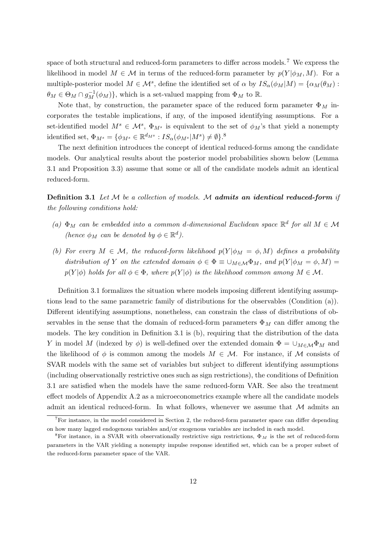space of both structural and reduced-form parameters to differ across models.<sup>7</sup> We express the likelihood in model  $M \in \mathcal{M}$  in terms of the reduced-form parameter by  $p(Y|\phi_M, M)$ . For a multiple-posterior model  $M \in \mathcal{M}^s$ , define the identified set of  $\alpha$  by  $IS_{\alpha}(\phi_M|M) = {\alpha_M(\theta_M)}$ :  $\theta_M \in \Theta_M \cap g_M^{-1}(\phi_M)$ , which is a set-valued mapping from  $\Phi_M$  to  $\mathbb{R}$ .

Note that, by construction, the parameter space of the reduced form parameter  $\Phi_M$  incorporates the testable implications, if any, of the imposed identifying assumptions. For a set-identified model  $M^s \in \mathcal{M}^s$ ,  $\Phi_{M^s}$  is equivalent to the set of  $\phi_M$ 's that yield a nonempty identified set,  $\Phi_{M^s} = {\phi_{M^s} \in \mathbb{R}^{d_{M^s}} : IS_{\alpha}(\phi_{M^s}|M^s) \neq \emptyset}$ .<sup>8</sup>

The next definition introduces the concept of identical reduced-forms among the candidate models. Our analytical results about the posterior model probabilities shown below (Lemma 3.1 and Proposition 3.3) assume that some or all of the candidate models admit an identical reduced-form.

Definition 3.1 Let M be a collection of models. M admits an identical reduced-form if the following conditions hold:

- (a)  $\Phi_M$  can be embedded into a common d-dimensional Euclidean space  $\mathbb{R}^d$  for all  $M \in \mathcal{M}$ (hence  $\phi_M$  can be denoted by  $\phi \in \mathbb{R}^d$ ).
- (b) For every  $M \in \mathcal{M}$ , the reduced-form likelihood  $p(Y|\phi_M = \phi, M)$  defines a probability distribution of Y on the extended domain  $\phi \in \Phi \equiv \cup_{M \in \mathcal{M}} \Phi_M$ , and  $p(Y|\phi_M = \phi, M) =$  $p(Y|\phi)$  holds for all  $\phi \in \Phi$ , where  $p(Y|\phi)$  is the likelihood common among  $M \in \mathcal{M}$ .

Definition 3.1 formalizes the situation where models imposing different identifying assumptions lead to the same parametric family of distributions for the observables (Condition (a)). Different identifying assumptions, nonetheless, can constrain the class of distributions of observables in the sense that the domain of reduced-form parameters  $\Phi_M$  can differ among the models. The key condition in Definition 3.1 is (b), requiring that the distribution of the data Y in model M (indexed by  $\phi$ ) is well-defined over the extended domain  $\Phi = \cup_{M \in \mathcal{M}} \Phi_M$  and the likelihood of  $\phi$  is common among the models  $M \in \mathcal{M}$ . For instance, if M consists of SVAR models with the same set of variables but subject to different identifying assumptions (including observationally restrictive ones such as sign restrictions), the conditions of Definition 3.1 are satisfied when the models have the same reduced-form VAR. See also the treatment effect models of Appendix A.2 as a microeconometrics example where all the candidate models admit an identical reduced-form. In what follows, whenever we assume that  $\mathcal M$  admits an

 ${}^{7}$ For instance, in the model considered in Section 2, the reduced-form parameter space can differ depending on how many lagged endogenous variables and/or exogenous variables are included in each model.

<sup>&</sup>lt;sup>8</sup>For instance, in a SVAR with observationally restrictive sign restrictions,  $\Phi_M$  is the set of reduced-form parameters in the VAR yielding a nonempty impulse response identified set, which can be a proper subset of the reduced-form parameter space of the VAR.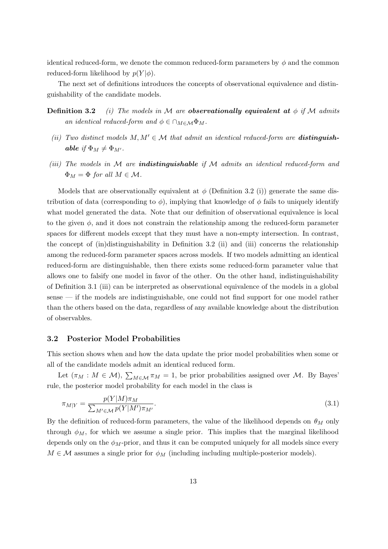identical reduced-form, we denote the common reduced-form parameters by  $\phi$  and the common reduced-form likelihood by  $p(Y|\phi)$ .

The next set of definitions introduces the concepts of observational equivalence and distinguishability of the candidate models.

- **Definition 3.2** (i) The models in M are **observationally equivalent at**  $\phi$  if M admits an identical reduced-form and  $\phi \in \cap_{M \in \mathcal{M}} \Phi_M$ .
	- (ii) Two distinct models  $M, M' \in \mathcal{M}$  that admit an identical reduced-form are **distinguish**able if  $\Phi_M \neq \Phi_{M'}$ .
- (iii) The models in  $\mathcal M$  are **indistinguishable** if  $\mathcal M$  admits an identical reduced-form and  $\Phi_M = \Phi$  for all  $M \in \mathcal{M}$ .

Models that are observationally equivalent at  $\phi$  (Definition 3.2 (i)) generate the same distribution of data (corresponding to  $\phi$ ), implying that knowledge of  $\phi$  fails to uniquely identify what model generated the data. Note that our definition of observational equivalence is local to the given  $\phi$ , and it does not constrain the relationship among the reduced-form parameter spaces for different models except that they must have a non-empty intersection. In contrast, the concept of (in)distinguishability in Definition 3.2 (ii) and (iii) concerns the relationship among the reduced-form parameter spaces across models. If two models admitting an identical reduced-form are distinguishable, then there exists some reduced-form parameter value that allows one to falsify one model in favor of the other. On the other hand, indistinguishability of Definition 3.1 (iii) can be interpreted as observational equivalence of the models in a global sense — if the models are indistinguishable, one could not find support for one model rather than the others based on the data, regardless of any available knowledge about the distribution of observables.

#### 3.2 Posterior Model Probabilities

This section shows when and how the data update the prior model probabilities when some or all of the candidate models admit an identical reduced form.

Let  $(\pi_M : M \in \mathcal{M})$ ,  $\sum_{M \in \mathcal{M}} \pi_M = 1$ , be prior probabilities assigned over M. By Bayes' rule, the posterior model probability for each model in the class is

$$
\pi_{M|Y} = \frac{p(Y|M)\pi_M}{\sum_{M' \in \mathcal{M}} p(Y|M')\pi_{M'}}.\tag{3.1}
$$

By the definition of reduced-form parameters, the value of the likelihood depends on  $\theta_M$  only through  $\phi_M$ , for which we assume a single prior. This implies that the marginal likelihood depends only on the  $\phi_M$ -prior, and thus it can be computed uniquely for all models since every  $M \in \mathcal{M}$  assumes a single prior for  $\phi_M$  (including including multiple-posterior models).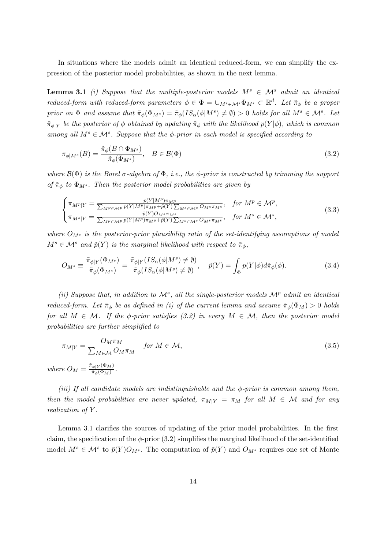In situations where the models admit an identical reduced-form, we can simplify the expression of the posterior model probabilities, as shown in the next lemma.

**Lemma 3.1** (i) Suppose that the multiple-posterior models  $M^s \in \mathcal{M}^s$  admit an identical reduced-form with reduced-form parameters  $\phi \in \Phi = \bigcup_{M^s \in \mathcal{M}^s} \Phi_{M^s} \subset \mathbb{R}^d$ . Let  $\tilde{\pi}_{\phi}$  be a proper prior on  $\Phi$  and assume that  $\tilde{\pi}_{\phi}(\Phi_{M^s}) = \tilde{\pi}_{\phi}(IS_{\alpha}(\phi|M^s) \neq \emptyset) > 0$  holds for all  $M^s \in \mathcal{M}^s$ . Let  $\tilde{\pi}_{\phi|Y}$  be the posterior of  $\phi$  obtained by updating  $\tilde{\pi}_{\phi}$  with the likelihood  $p(Y|\phi)$ , which is common among all  $M^s \in \mathcal{M}^s$ . Suppose that the  $\phi$ -prior in each model is specified according to

$$
\pi_{\phi|M^s}(B) = \frac{\tilde{\pi}_{\phi}(B \cap \Phi_{M^s})}{\tilde{\pi}_{\phi}(\Phi_{M^s})}, \quad B \in \mathcal{B}(\Phi)
$$
\n(3.2)

where  $\mathcal{B}(\Phi)$  is the Borel  $\sigma$ -algebra of  $\Phi$ , i.e., the  $\phi$ -prior is constructed by trimming the support of  $\tilde{\pi}_{\phi}$  to  $\Phi_{M^s}$ . Then the posterior model probabilities are given by

$$
\begin{cases}\n\pi_{M^p|Y} = \frac{p(Y|M^p)\pi_{M^p}}{\sum_{M^p \in \mathcal{M}^p} p(Y|M^p)\pi_{M^p} + \tilde{p}(Y)\sum_{M^s \in \mathcal{M}^s} O_{M^s}\pi_{M^s}}, & \text{for } M^p \in \mathcal{M}^p, \\
\pi_{M^s|Y} = \frac{\tilde{p}(Y)O_{M^s}\pi_{M^s}}{\sum_{M^p \in \mathcal{M}^p} p(Y|M^p)\pi_{M^p} + \tilde{p}(Y)\sum_{M^s \in \mathcal{M}^s} O_{M^s}\pi_{M^s}}, & \text{for } M^s \in \mathcal{M}^s,\n\end{cases}
$$
\n(3.3)

where  $O_M$ <sup>s</sup> is the posterior-prior plausibility ratio of the set-identifying assumptions of model  $M^s \in \mathcal{M}^s$  and  $\tilde{p}(Y)$  is the marginal likelihood with respect to  $\tilde{\pi}_{\phi}$ ,

$$
O_{M^s} \equiv \frac{\tilde{\pi}_{\phi|Y}(\Phi_{M^s})}{\tilde{\pi}_{\phi}(\Phi_{M^s})} = \frac{\tilde{\pi}_{\phi|Y}(IS_{\alpha}(\phi|M^s) \neq \emptyset)}{\tilde{\pi}_{\phi}(IS_{\alpha}(\phi|M^s) \neq \emptyset)}, \quad \tilde{p}(Y) = \int_{\Phi} p(Y|\phi) d\tilde{\pi}_{\phi}(\phi). \tag{3.4}
$$

(ii) Suppose that, in addition to  $\mathcal{M}^s$ , all the single-posterior models  $\mathcal{M}^p$  admit an identical reduced-form. Let  $\tilde{\pi}_{\phi}$  be as defined in (i) of the current lemma and assume  $\tilde{\pi}_{\phi}(\Phi_M) > 0$  holds for all  $M \in \mathcal{M}$ . If the  $\phi$ -prior satisfies (3.2) in every  $M \in \mathcal{M}$ , then the posterior model probabilities are further simplified to

$$
\pi_{M|Y} = \frac{O_M \pi_M}{\sum_{M \in \mathcal{M}} O_M \pi_M} \quad \text{for } M \in \mathcal{M},
$$
\n
$$
\text{where } O_M = \frac{\tilde{\pi}_{\phi|Y}(\Phi_M)}{\tilde{\pi}_{\phi}(\Phi_M)}.
$$
\n(3.5)

(iii) If all candidate models are indistinguishable and the  $\phi$ -prior is common among them, then the model probabilities are never updated,  $\pi_{M|Y} = \pi_M$  for all  $M \in \mathcal{M}$  and for any realization of Y.

Lemma 3.1 clarifies the sources of updating of the prior model probabilities. In the first claim, the specification of the  $\phi$ -prior (3.2) simplifies the marginal likelihood of the set-identified model  $M^s \in \mathcal{M}^s$  to  $\tilde{p}(Y)O_{M^s}$ . The computation of  $\tilde{p}(Y)$  and  $O_{M^s}$  requires one set of Monte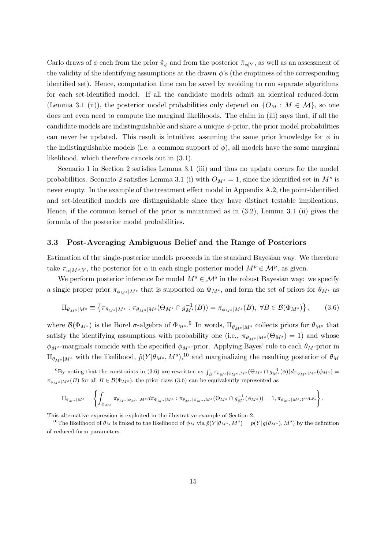Carlo draws of  $\phi$  each from the prior  $\tilde{\pi}_{\phi}$  and from the posterior  $\tilde{\pi}_{\phi|Y}$ , as well as an assessment of the validity of the identifying assumptions at the drawn  $\phi$ 's (the emptiness of the corresponding identified set). Hence, computation time can be saved by avoiding to run separate algorithms for each set-identified model. If all the candidate models admit an identical reduced-form (Lemma 3.1 (ii)), the posterior model probabilities only depend on  $\{O_M : M \in \mathcal{M}\}\)$ , so one does not even need to compute the marginal likelihoods. The claim in (iii) says that, if all the candidate models are indistinguishable and share a unique  $\phi$ -prior, the prior model probabilities can never be updated. This result is intuitive: assuming the same prior knowledge for  $\phi$  in the indistinguishable models (i.e. a common support of  $\phi$ ), all models have the same marginal likelihood, which therefore cancels out in (3.1).

Scenario 1 in Section 2 satisfies Lemma 3.1 (iii) and thus no update occurs for the model probabilities. Scenario 2 satisfies Lemma 3.1 (i) with  $O_{M^s} = 1$ , since the identified set in  $M^s$  is never empty. In the example of the treatment effect model in Appendix A.2, the point-identified and set-identified models are distinguishable since they have distinct testable implications. Hence, if the common kernel of the prior is maintained as in (3.2), Lemma 3.1 (ii) gives the formula of the posterior model probabilities.

## 3.3 Post-Averaging Ambiguous Belief and the Range of Posteriors

Estimation of the single-posterior models proceeds in the standard Bayesian way. We therefore take  $\pi_{\alpha|M^p,Y}$ , the posterior for  $\alpha$  in each single-posterior model  $M^p \in \mathcal{M}^p$ , as given.

We perform posterior inference for model  $M^s \in \mathcal{M}^s$  in the robust Bayesian way: we specify a single proper prior  $\pi_{\phi_{M} s|M^s}$  that is supported on  $\Phi_{M^s}$ , and form the set of priors for  $\theta_{M^s}$  as

$$
\Pi_{\theta_M s|M^s} \equiv \left\{ \pi_{\theta_M s|M^s} : \pi_{\theta_M s|M^s}(\Theta_M s \cap g^{-1}_{M^s}(B)) = \pi_{\phi_M s|M^s}(B), \ \forall B \in \mathcal{B}(\Phi_M s) \right\},\tag{3.6}
$$

where  $\mathcal{B}(\Phi_{M^s})$  is the Borel  $\sigma$ -algebra of  $\Phi_{M^s}$ .<sup>9</sup> In words,  $\Pi_{\theta_{M^s}|M^s}$  collects priors for  $\theta_{M^s}$  that satisfy the identifying assumptions with probability one (i.e.,  $\pi_{\theta_{M^s}|M^s}(\Theta_{M^s}) = 1$ ) and whose  $\phi_{M^s}$ -marginals coincide with the specified  $\phi_{M^s}$ -prior. Applying Bayes' rule to each  $\theta_M$ -prior in  $\Pi_{\theta_{M} s|M^s}$  with the likelihood,  $\tilde{p}(Y | \theta_{M^s}, M^s),^{10}$  and marginalizing the resulting posterior of  $\theta_M$ 

$$
\Pi_{\theta_M s \, |M^s} = \left\{ \int_{\Phi_M s} \pi_{\theta_M s \, | \phi_M s \, , M^s} d\pi_{\Phi_M s \, |M^s} : \pi_{\theta_M s \, | \phi_M s \, , M^s}(\Theta_M s \cap g_{M^s}^{-1}(\phi_M s)) = 1, \pi_{\phi_M s \, |M^s, Y} \text{-a.s.} \right\}.
$$

This alternative expression is exploited in the illustrative example of Section 2.

<sup>10</sup>The likelihood of  $\theta_M$  is linked to the likelihood of  $\phi_M$  via  $\tilde{p}(Y|\theta_{M^s},M^s) = p(Y|g(\theta_{M^s}),M^s)$  by the definition of reduced-form parameters.

<sup>&</sup>lt;sup>9</sup>By noting that the constraints in (3.6) are rewritten as  $\int_B \pi_{\theta_{M^s}|{\phi_{M^s},M^s}}(\Theta_{M^s} \cap g_{M^s}^{-1}(\phi)) d\pi_{\phi_{M^s}|M^s}(\phi_{M^s}) =$  $\pi_{\phi_{M^s}|M^s}(B)$  for all  $B \in \mathcal{B}(\Phi_{M^s})$ , the prior class (3.6) can be equivalently represented as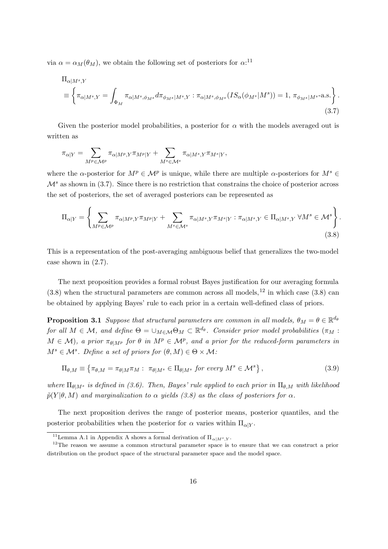via  $\alpha = \alpha_M(\theta_M)$ , we obtain the following set of posteriors for  $\alpha$ <sup>11</sup>

$$
\Pi_{\alpha|M^s,Y} \n\equiv \left\{ \pi_{\alpha|M^s,Y} = \int_{\Phi_M} \pi_{\alpha|M^s,\phi_Ms} d\pi_{\phi_Ms|M^s,Y} : \pi_{\alpha|M^s,\phi_Ms} (IS_{\alpha}(\phi_{M^s}|M^s)) = 1, \pi_{\phi_Ms|M^s} - a.s. \right\}.
$$
\n(3.7)

Given the posterior model probabilities, a posterior for  $\alpha$  with the models averaged out is written as

$$
\pi_{\alpha|Y} = \sum_{M^p \in \mathcal{M}^p} \pi_{\alpha|M^p,Y} \pi_{M^p|Y} + \sum_{M^s \in \mathcal{M}^s} \pi_{\alpha|M^s,Y} \pi_{M^s|Y},
$$

where the  $\alpha$ -posterior for  $M^p \in \mathcal{M}^p$  is unique, while there are multiple  $\alpha$ -posteriors for  $M^s \in$  $\mathcal{M}^s$  as shown in (3.7). Since there is no restriction that constrains the choice of posterior across the set of posteriors, the set of averaged posteriors can be represented as

$$
\Pi_{\alpha|Y} = \left\{ \sum_{M^p \in \mathcal{M}^p} \pi_{\alpha|M^p, Y} \pi_{M^p|Y} + \sum_{M^s \in \mathcal{M}^s} \pi_{\alpha|M^s, Y} \pi_{M^s|Y} : \pi_{\alpha|M^s, Y} \in \Pi_{\alpha|M^s, Y} \ \forall M^s \in \mathcal{M}^s \right\}.
$$
\n(3.8)

This is a representation of the post-averaging ambiguous belief that generalizes the two-model case shown in (2.7).

The next proposition provides a formal robust Bayes justification for our averaging formula  $(3.8)$  when the structural parameters are common across all models,<sup>12</sup> in which case  $(3.8)$  can be obtained by applying Bayes' rule to each prior in a certain well-defined class of priors.

**Proposition 3.1** Suppose that structural parameters are common in all models,  $\theta_M = \theta \in \mathbb{R}^{d_{\theta}}$ for all  $M \in \mathcal{M}$ , and define  $\Theta = \cup_{M \in \mathcal{M}} \Theta_M \subset \mathbb{R}^{d_{\theta}}$ . Consider prior model probabilities  $(\pi_M :$  $M \in \mathcal{M}$ , a prior  $\pi_{\theta \mid M^p}$  for  $\theta$  in  $M^p \in \mathcal{M}^p$ , and a prior for the reduced-form parameters in  $M^s \in \mathcal{M}^s$ . Define a set of priors for  $(\theta, M) \in \Theta \times \mathcal{M}$ :

$$
\Pi_{\theta,M} \equiv \left\{ \pi_{\theta,M} = \pi_{\theta|M} \pi_M : \ \pi_{\theta|M^s} \in \Pi_{\theta|M^s} \text{ for every } M^s \in \mathcal{M}^s \right\},\tag{3.9}
$$

where  $\Pi_{\theta|M^s}$  is defined in (3.6). Then, Bayes' rule applied to each prior in  $\Pi_{\theta,M}$  with likelihood  $\tilde{p}(Y|\theta, M)$  and marginalization to  $\alpha$  yields (3.8) as the class of posteriors for  $\alpha$ .

The next proposition derives the range of posterior means, posterior quantiles, and the posterior probabilities when the posterior for  $\alpha$  varies within  $\Pi_{\alpha|Y}$ .

<sup>&</sup>lt;sup>11</sup>Lemma A.1 in Appendix A shows a formal derivation of  $\Pi_{\alpha|M^s,Y}$ .<br><sup>12</sup>The reason we assume a common structural parameter space is to ensure that we can construct a prior distribution on the product space of the structural parameter space and the model space.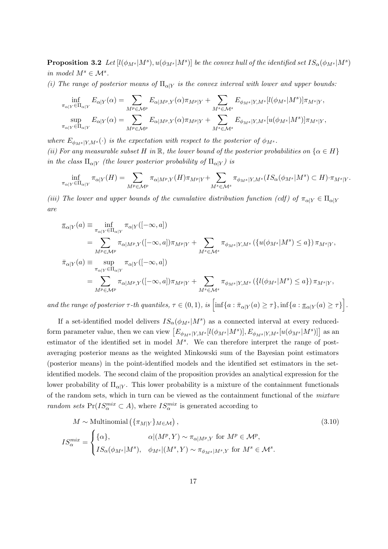**Proposition 3.2** Let  $[l(\phi_{M^s}|M^s), u(\phi_{M^s}|M^s)]$  be the convex hull of the identified set  $IS_\alpha(\phi_{M^s}|M^s)$ in model  $M^s \in \mathcal{M}^s$ .

(i) The range of posterior means of  $\Pi_{\alpha|Y}$  is the convex interval with lower and upper bounds:

$$
\inf_{\pi_{\alpha|Y}\in\Pi_{\alpha|Y}} E_{\alpha|Y}(\alpha) = \sum_{M^p \in \mathcal{M}^p} E_{\alpha|M^p,Y}(\alpha) \pi_{M^p|Y} + \sum_{M^s \in \mathcal{M}^s} E_{\phi_{M^s}|Y,M^s}[l(\phi_{M^s}|M^s)] \pi_{M^s|Y},
$$
  
\n
$$
\sup_{\pi_{\alpha|Y}\in\Pi_{\alpha|Y}} E_{\alpha|Y}(\alpha) = \sum_{M^p \in \mathcal{M}^p} E_{\alpha|M^p,Y}(\alpha) \pi_{M^p|Y} + \sum_{M^s \in \mathcal{M}^s} E_{\phi_{M^s}|Y,M^s}[u(\phi_{M^s}|M^s)] \pi_{M^s|Y},
$$

where  $E_{\phi_{MS}|Y,M^s}(\cdot)$  is the expectation with respect to the posterior of  $\phi_{M^s}$ . (ii) For any measurable subset H in R, the lower bound of the posterior probabilities on  $\{\alpha \in H\}$ in the class  $\Pi_{\alpha|Y}$  (the lower posterior probability of  $\Pi_{\alpha|Y}$ ) is

$$
\inf_{\pi_{\alpha|Y}\in \Pi_{\alpha|Y}}\pi_{\alpha|Y}(H)=\sum_{M^p\in \mathcal{M}^p}\pi_{\alpha|M^p,Y}(H)\pi_{M^p|Y}+\sum_{M^s\in \mathcal{M}^s}\pi_{\phi_{M^s}|Y,M^s}(IS_{\alpha}(\phi_{M^s}|M^s)\subset H)\cdot \pi_{M^s|Y}.
$$

(iii) The lower and upper bounds of the cumulative distribution function (cdf) of  $\pi_{\alpha|Y} \in \Pi_{\alpha|Y}$ are

$$
\begin{split}\n\pi_{\alpha|Y}(a) & \equiv \inf_{\pi_{\alpha|Y} \in \Pi_{\alpha|Y}} \pi_{\alpha|Y}([-\infty, a]) \\
& = \sum_{M^p \in \mathcal{M}^p} \pi_{\alpha|M^p, Y}([-\infty, a]) \pi_{M^p|Y} + \sum_{M^s \in \mathcal{M}^s} \pi_{\phi_{M^s}|Y, M^s}(\{u(\phi_{M^s}|M^s) \le a\}) \pi_{M^s|Y}, \\
\pi_{\alpha|Y}(a) & \equiv \sup_{\pi_{\alpha|Y} \in \Pi_{\alpha|Y}} \pi_{\alpha|Y}([-\infty, a]) \\
& = \sum_{M^p \in \mathcal{M}^p} \pi_{\alpha|M^p, Y}([-\infty, a]) \pi_{M^p|Y} + \sum_{M^s \in \mathcal{M}^s} \pi_{\phi_{M^s}|Y, M^s}(\{\ell(\phi_{M^s}|M^s) \le a\}) \pi_{M^s|Y},\n\end{split}
$$

and the range of posterior  $\tau$ -th quantiles,  $\tau \in (0,1)$ , is  $\left[ \inf \{a : \bar{\pi}_{\alpha | Y}(a) \geq \tau \}, \inf \{a : \underline{\pi}_{\alpha | Y}(a) \geq \tau \} \right]$ .

If a set-identified model delivers  $IS_{\alpha}(\phi_{M^s}|M^s)$  as a connected interval at every reducedform parameter value, then we can view  $\left[E_{\phi_{M^s}|Y,M^s}[l(\phi_{M^s}|M^s)],E_{\phi_{M^s}|Y,M^s}[u(\phi_{M^s}|M^s)]\right]$  as an estimator of the identified set in model  $M<sup>s</sup>$ . We can therefore interpret the range of postaveraging posterior means as the weighted Minkowski sum of the Bayesian point estimators (posterior means) in the point-identified models and the identified set estimators in the setidentified models. The second claim of the proposition provides an analytical expression for the lower probability of  $\Pi_{\alpha|Y}$ . This lower probability is a mixture of the containment functionals of the random sets, which in turn can be viewed as the containment functional of the mixture random sets  $Pr(I S_\alpha^{mix} \subset A)$ , where  $IS_\alpha^{mix}$  is generated according to

$$
M \sim \text{Multinomial}\left(\{\pi_{M|Y}\}_{M \in \mathcal{M}}\right),\tag{3.10}
$$
\n
$$
IS_{\alpha}^{mix} = \begin{cases} \{\alpha\}, & \alpha | (M^p, Y) \sim \pi_{\alpha|M^p, Y} \text{ for } M^p \in \mathcal{M}^p, \\ IS_{\alpha}(\phi_{M^s}|M^s), & \phi_{M^s}| (M^s, Y) \sim \pi_{\phi_{M^s}|M^s, Y} \text{ for } M^s \in \mathcal{M}^s. \end{cases}
$$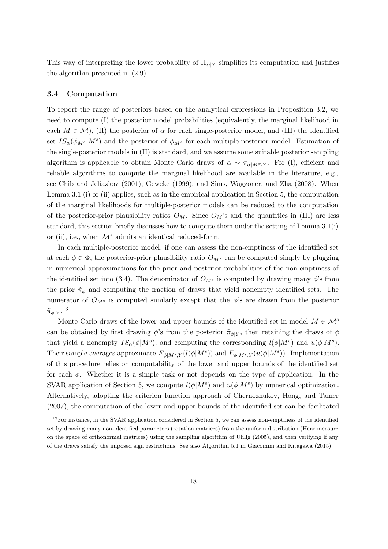This way of interpreting the lower probability of  $\Pi_{\alpha|Y}$  simplifies its computation and justifies the algorithm presented in (2.9).

#### 3.4 Computation

To report the range of posteriors based on the analytical expressions in Proposition 3.2, we need to compute (I) the posterior model probabilities (equivalently, the marginal likelihood in each  $M \in \mathcal{M}$ ), (II) the posterior of  $\alpha$  for each single-posterior model, and (III) the identified set  $IS_{\alpha}(\phi_{M^s}|M^s)$  and the posterior of  $\phi_{M^s}$  for each multiple-posterior model. Estimation of the single-posterior models in (II) is standard, and we assume some suitable posterior sampling algorithm is applicable to obtain Monte Carlo draws of  $\alpha \sim \pi_{\alpha|M_P,Y}$ . For (I), efficient and reliable algorithms to compute the marginal likelihood are available in the literature, e.g., see Chib and Jeliazkov (2001), Geweke (1999), and Sims, Waggoner, and Zha (2008). When Lemma 3.1 (i) or (ii) applies, such as in the empirical application in Section 5, the computation of the marginal likelihoods for multiple-posterior models can be reduced to the computation of the posterior-prior plausibility ratios  $O_M$ . Since  $O_M$ 's and the quantities in (III) are less standard, this section briefly discusses how to compute them under the setting of Lemma 3.1(i) or (ii), i.e., when  $\mathcal{M}^s$  admits an identical reduced-form.

In each multiple-posterior model, if one can assess the non-emptiness of the identified set at each  $\phi \in \Phi$ , the posterior-prior plausibility ratio  $O_{M^s}$  can be computed simply by plugging in numerical approximations for the prior and posterior probabilities of the non-emptiness of the identified set into (3.4). The denominator of  $O_{M^s}$  is computed by drawing many  $\phi$ 's from the prior  $\tilde{\pi}_{\phi}$  and computing the fraction of draws that yield nonempty identified sets. The numerator of  $O_{M^s}$  is computed similarly except that the  $\phi$ 's are drawn from the posterior  $\tilde{\pi}_{\phi|Y}$ .<sup>13</sup>

Monte Carlo draws of the lower and upper bounds of the identified set in model  $M \in \mathcal{M}^s$ can be obtained by first drawing  $\phi$ 's from the posterior  $\tilde{\pi}_{\phi|Y}$ , then retaining the draws of  $\phi$ that yield a nonempty  $IS_{\alpha}(\phi|M^s)$ , and computing the corresponding  $l(\phi|M^s)$  and  $u(\phi|M^s)$ . Their sample averages approximate  $E_{\phi|M^s,Y}(l(\phi|M^s))$  and  $E_{\phi|M^s,Y}(u(\phi|M^s))$ . Implementation of this procedure relies on computability of the lower and upper bounds of the identified set for each  $\phi$ . Whether it is a simple task or not depends on the type of application. In the SVAR application of Section 5, we compute  $l(\phi|M^s)$  and  $u(\phi|M^s)$  by numerical optimization. Alternatively, adopting the criterion function approach of Chernozhukov, Hong, and Tamer (2007), the computation of the lower and upper bounds of the identified set can be facilitated

<sup>&</sup>lt;sup>13</sup>For instance, in the SVAR application considered in Section 5, we can assess non-emptiness of the identified set by drawing many non-identified parameters (rotation matrices) from the uniform distribution (Haar measure on the space of orthonormal matrices) using the sampling algorithm of Uhlig (2005), and then verifying if any of the draws satisfy the imposed sign restrictions. See also Algorithm 5.1 in Giacomini and Kitagawa (2015).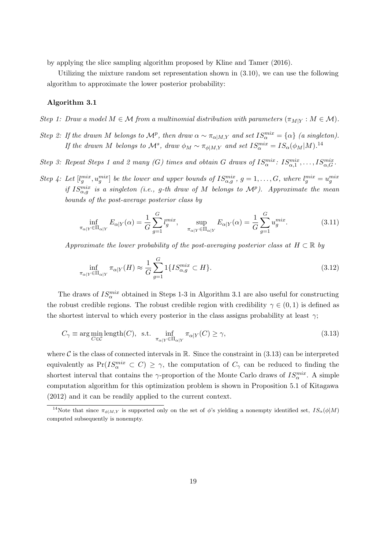by applying the slice sampling algorithm proposed by Kline and Tamer (2016).

Utilizing the mixture random set representation shown in (3.10), we can use the following algorithm to approximate the lower posterior probability:

#### Algorithm 3.1

Step 1: Draw a model  $M \in \mathcal{M}$  from a multinomial distribution with parameters  $(\pi_{M|Y} : M \in \mathcal{M})$ .

- Step 2: If the drawn M belongs to  $\mathcal{M}^p$ , then draw  $\alpha \sim \pi_{\alpha|M,Y}$  and set  $IS_\alpha^{mix} = {\alpha}$  (a singleton). If the drawn M belongs to  $\mathcal{M}^s$ , draw  $\phi_M \sim \pi_{\phi|M,Y}$  and set  $IS_\alpha^{mix} = IS_\alpha(\phi_M|M).^{14}$
- Step 3: Repeat Steps 1 and 2 many (G) times and obtain G draws of  $IS_\alpha^{mix}$ :  $IS_{\alpha,1}^{mix}, \ldots, IS_{\alpha,G}^{mix}$ .
- Step 4: Let  $[l_g^{mix}, u_g^{mix}]$  be the lower and upper bounds of  $IS_{\alpha,g}^{mix}$ ,  $g = 1, \ldots, G$ , where  $l_g^{mix} = u_g^{mix}$ if  $IS_{\alpha,g}^{mix}$  is a singleton (i.e., g-th draw of M belongs to  $\mathcal{M}^p$ ). Approximate the mean bounds of the post-average posterior class by

$$
\inf_{\pi_{\alpha|Y}\in\Pi_{\alpha|Y}} E_{\alpha|Y}(\alpha) = \frac{1}{G} \sum_{g=1}^{G} l_g^{mix}, \quad \sup_{\pi_{\alpha|Y}\in\Pi_{\alpha|Y}} E_{\alpha|Y}(\alpha) = \frac{1}{G} \sum_{g=1}^{G} u_g^{mix}.
$$
 (3.11)

Approximate the lower probability of the post-averaging posterior class at  $H \subset \mathbb{R}$  by

$$
\inf_{\pi_{\alpha|Y}\in\Pi_{\alpha|Y}} \pi_{\alpha|Y}(H) \approx \frac{1}{G} \sum_{g=1}^{G} 1\{IS_{\alpha,g}^{mix} \subset H\}.
$$
\n(3.12)

The draws of  $IS_{\alpha}^{mix}$  obtained in Steps 1-3 in Algorithm 3.1 are also useful for constructing the robust credible regions. The robust credible region with credibility  $\gamma \in (0, 1)$  is defined as the shortest interval to which every posterior in the class assigns probability at least  $\gamma$ ;

$$
C_{\gamma} \equiv \arg\min_{C \in \mathcal{C}} \text{length}(C), \text{ s.t. } \inf_{\pi_{\alpha|Y} \in \Pi_{\alpha|Y}} \pi_{\alpha|Y}(C) \ge \gamma,
$$
\n(3.13)

where C is the class of connected intervals in R. Since the constraint in  $(3.13)$  can be interpreted equivalently as  $Pr(IS_\alpha^{mix} \subset C) \geq \gamma$ , the computation of  $C_\gamma$  can be reduced to finding the shortest interval that contains the  $\gamma$ -proportion of the Monte Carlo draws of  $IS_\alpha^{mix}$ . A simple computation algorithm for this optimization problem is shown in Proposition 5.1 of Kitagawa (2012) and it can be readily applied to the current context.

<sup>&</sup>lt;sup>14</sup>Note that since  $\pi_{\phi|M,Y}$  is supported only on the set of  $\phi$ 's yielding a nonempty identified set,  $IS_{\alpha}(\phi|M)$ computed subsequently is nonempty.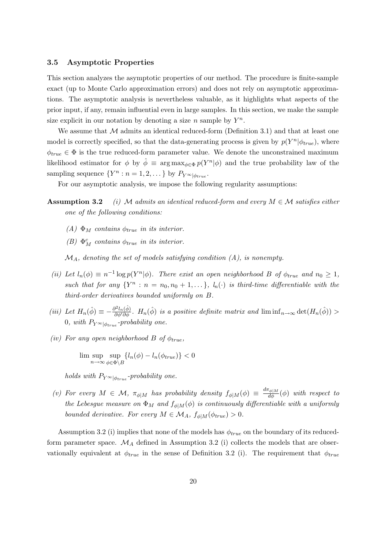## 3.5 Asymptotic Properties

This section analyzes the asymptotic properties of our method. The procedure is finite-sample exact (up to Monte Carlo approximation errors) and does not rely on asymptotic approximations. The asymptotic analysis is nevertheless valuable, as it highlights what aspects of the prior input, if any, remain influential even in large samples. In this section, we make the sample size explicit in our notation by denoting a size n sample by  $Y^n$ .

We assume that  $M$  admits an identical reduced-form (Definition 3.1) and that at least one model is correctly specified, so that the data-generating process is given by  $p(Y^n|\phi_{true})$ , where  $\phi_{true} \in \Phi$  is the true reduced-form parameter value. We denote the unconstrained maximum likelihood estimator for  $\phi$  by  $\hat{\phi} \equiv \arg \max_{\phi \in \Phi} p(Y^n | \phi)$  and the true probability law of the sampling sequence  $\{Y^n : n = 1, 2, \dots\}$  by  $P_{Y^{\infty}|\phi_{true}}$ .

For our asymptotic analysis, we impose the following regularity assumptions:

- **Assumption 3.2** (i) M admits an identical reduced-form and every  $M \in \mathcal{M}$  satisfies either one of the following conditions:
	- (A)  $\Phi_M$  contains  $\phi_{true}$  in its interior.
	- (B)  $\Phi_M^c$  contains  $\phi_{true}$  in its interior.

 $\mathcal{M}_A$ , denoting the set of models satisfying condition (A), is nonempty.

- (ii) Let  $l_n(\phi) \equiv n^{-1} \log p(Y^n|\phi)$ . There exist an open neighborhood B of  $\phi_{true}$  and  $n_0 \geq 1$ , such that for any  $\{Y^n : n = n_0, n_0 + 1, ...\}$ ,  $l_n(\cdot)$  is third-time differentiable with the third-order derivatives bounded uniformly on B.
- (iii) Let  $H_n(\hat{\phi}) \equiv -\frac{\partial^2 l_n(\hat{\phi})}{\partial \phi' \partial \phi}$ .  $H_n(\hat{\phi})$  is a positive definite matrix and  $\liminf_{n\to\infty} \det(H_n(\hat{\phi}))$ 0, with  $P_{Y^{\infty}|\phi_{true}}$ -probability one.
- (iv) For any open neighborhood B of  $\phi_{true}$ ,

$$
\limsup_{n \to \infty} \sup_{\phi \in \Phi \backslash B} \{ l_n(\phi) - l_n(\phi_{true}) \} < 0
$$

holds with  $P_{Y^{\infty}|\phi_{true}}$ -probability one.

(v) For every  $M \in \mathcal{M}$ ,  $\pi_{\phi|M}$  has probability density  $f_{\phi|M}(\phi) \equiv \frac{d\pi_{\phi|M}}{d\phi}(\phi)$  with respect to the Lebesgue measure on  $\Phi_M$  and  $f_{\phi|M}(\phi)$  is continuously differentiable with a uniformly bounded derivative. For every  $M \in \mathcal{M}_A$ ,  $f_{\phi|M}(\phi_{true}) > 0$ .

Assumption 3.2 (i) implies that none of the models has  $\phi_{true}$  on the boundary of its reducedform parameter space.  $\mathcal{M}_A$  defined in Assumption 3.2 (i) collects the models that are observationally equivalent at  $\phi_{true}$  in the sense of Definition 3.2 (i). The requirement that  $\phi_{true}$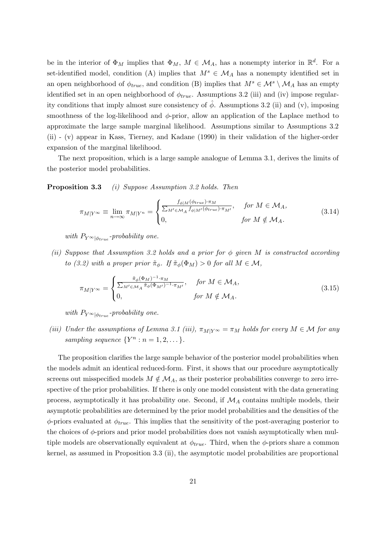be in the interior of  $\Phi_M$  implies that  $\Phi_M$ ,  $M \in \mathcal{M}_A$ , has a nonempty interior in  $\mathbb{R}^d$ . For a set-identified model, condition (A) implies that  $M^s \in \mathcal{M}_A$  has a nonempty identified set in an open neighborhood of  $\phi_{true}$ , and condition (B) implies that  $M^s \in \mathcal{M}^s \setminus \mathcal{M}_A$  has an empty identified set in an open neighborhood of  $\phi_{true}$ . Assumptions 3.2 (iii) and (iv) impose regularity conditions that imply almost sure consistency of  $\hat{\phi}$ . Assumptions 3.2 (ii) and (v), imposing smoothness of the log-likelihood and  $\phi$ -prior, allow an application of the Laplace method to approximate the large sample marginal likelihood. Assumptions similar to Assumptions 3.2 (ii) - (v) appear in Kass, Tierney, and Kadane (1990) in their validation of the higher-order expansion of the marginal likelihood.

The next proposition, which is a large sample analogue of Lemma 3.1, derives the limits of the posterior model probabilities.

Proposition 3.3 (i) Suppose Assumption 3.2 holds. Then

$$
\pi_{M|Y^{\infty}} \equiv \lim_{n \to \infty} \pi_{M|Y^n} = \begin{cases} \frac{f_{\phi|M}(\phi_{true}) \cdot \pi_M}{\sum_{M' \in \mathcal{M}_A} f_{\phi|M'}(\phi_{true}) \cdot \pi_{M'}}, & \text{for } M \in \mathcal{M}_A, \\ 0, & \text{for } M \notin \mathcal{M}_A. \end{cases} \tag{3.14}
$$

with  $P_{Y^{\infty}|\phi_{true}}$ -probability one.

(ii) Suppose that Assumption 3.2 holds and a prior for  $\phi$  given M is constructed according to (3.2) with a proper prior  $\tilde{\pi}_{\phi}$ . If  $\tilde{\pi}_{\phi}(\Phi_M) > 0$  for all  $M \in \mathcal{M}$ ,

$$
\pi_{M|Y^{\infty}} = \begin{cases} \frac{\tilde{\pi}_{\phi}(\Phi_M)^{-1} \cdot \pi_M}{\sum_{M' \in \mathcal{M}_A} \tilde{\pi}_{\phi}(\Phi_{M'})^{-1} \cdot \pi_{M'}}, & \text{for } M \in \mathcal{M}_A, \\ 0, & \text{for } M \notin \mathcal{M}_A. \end{cases}
$$
(3.15)

with  $P_{Y^{\infty}|\phi_{true}}$ -probability one.

(iii) Under the assumptions of Lemma 3.1 (iii),  $\pi_{M|Y} \in \pi_M$  holds for every  $M \in \mathcal{M}$  for any sampling sequence  $\{Y^n : n = 1, 2, \dots\}.$ 

The proposition clarifies the large sample behavior of the posterior model probabilities when the models admit an identical reduced-form. First, it shows that our procedure asymptotically screens out misspecified models  $M \notin \mathcal{M}_A$ , as their posterior probabilities converge to zero irrespective of the prior probabilities. If there is only one model consistent with the data generating process, asymptotically it has probability one. Second, if  $\mathcal{M}_A$  contains multiple models, their asymptotic probabilities are determined by the prior model probabilities and the densities of the  $\phi$ -priors evaluated at  $\phi_{true}$ . This implies that the sensitivity of the post-averaging posterior to the choices of  $\phi$ -priors and prior model probabilities does not vanish asymptotically when multiple models are observationally equivalent at  $\phi_{true}$ . Third, when the  $\phi$ -priors share a common kernel, as assumed in Proposition 3.3 (ii), the asymptotic model probabilities are proportional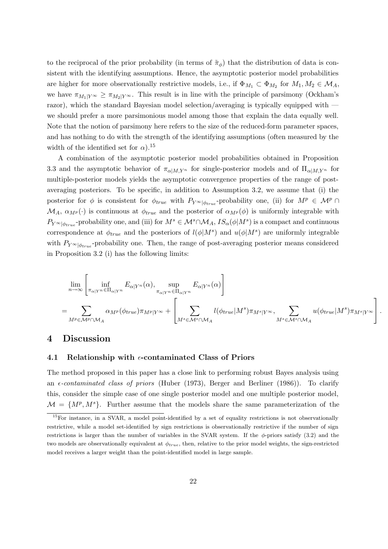to the reciprocal of the prior probability (in terms of  $\tilde{\pi}_{\phi}$ ) that the distribution of data is consistent with the identifying assumptions. Hence, the asymptotic posterior model probabilities are higher for more observationally restrictive models, i.e., if  $\Phi_{M_1} \subset \Phi_{M_2}$  for  $M_1, M_2 \in \mathcal{M}_A$ , we have  $\pi_{M_1|Y^{\infty}} \geq \pi_{M_2|Y^{\infty}}$ . This result is in line with the principle of parsimony (Ockham's razor), which the standard Bayesian model selection/averaging is typically equipped with we should prefer a more parsimonious model among those that explain the data equally well. Note that the notion of parsimony here refers to the size of the reduced-form parameter spaces, and has nothing to do with the strength of the identifying assumptions (often measured by the width of the identified set for  $\alpha$ ).<sup>15</sup>

A combination of the asymptotic posterior model probabilities obtained in Proposition 3.3 and the asymptotic behavior of  $\pi_{\alpha|M,Y^n}$  for single-posterior models and of  $\Pi_{\alpha|M,Y^n}$  for multiple-posterior models yields the asymptotic convergence properties of the range of postaveraging posteriors. To be specific, in addition to Assumption 3.2, we assume that (i) the posterior for  $\phi$  is consistent for  $\phi_{true}$  with  $P_{Y^{\infty}|\phi_{true}}$ -probability one, (ii) for  $M^p \in \mathcal{M}^p \cap$  $\mathcal{M}_A$ ,  $\alpha_{M}(\cdot)$  is continuous at  $\phi_{true}$  and the posterior of  $\alpha_{M}(\phi)$  is uniformly integrable with  $P_{Y}\otimes_{\phi_{true}}$ -probability one, and (iii) for  $M^s \in \mathcal{M}^s \cap \mathcal{M}_A$ ,  $IS_\alpha(\phi|M^s)$  is a compact and continuous correspondence at  $\phi_{true}$  and the posteriors of  $l(\phi|M^s)$  and  $u(\phi|M^s)$  are uniformly integrable with  $P_{Y \otimes |\phi_{true}}$ -probability one. Then, the range of post-averaging posterior means considered in Proposition 3.2 (i) has the following limits:

$$
\lim_{n \to \infty} \left[ \inf_{\pi_{\alpha|Y^n} \in \Pi_{\alpha|Y^n}} E_{\alpha|Y^n}(\alpha), \sup_{\pi_{\alpha|Y^n} \in \Pi_{\alpha|Y^n}} E_{\alpha|Y^n}(\alpha) \right]
$$
\n
$$
= \sum_{M^p \in \mathcal{M}^p \cap \mathcal{M}_A} \alpha_{M^p}(\phi_{true}) \pi_{M^p|Y^\infty} + \left[ \sum_{M^s \in \mathcal{M}^s \cap \mathcal{M}_A} l(\phi_{true}|M^s) \pi_{M^s|Y^\infty}, \sum_{M^s \in \mathcal{M}^s \cap \mathcal{M}_A} u(\phi_{true}|M^s) \pi_{M^s|Y^\infty} \right].
$$

## 4 Discussion

#### 4.1 Relationship with  $\epsilon$ -contaminated Class of Priors

The method proposed in this paper has a close link to performing robust Bayes analysis using an  $\epsilon$ -contaminated class of priors (Huber (1973), Berger and Berliner (1986)). To clarify this, consider the simple case of one single posterior model and one multiple posterior model,  $\mathcal{M} = \{M^p, M^s\}.$  Further assume that the models share the same parameterization of the

<sup>&</sup>lt;sup>15</sup>For instance, in a SVAR, a model point-identified by a set of equality restrictions is not observationally restrictive, while a model set-identified by sign restrictions is observationally restrictive if the number of sign restrictions is larger than the number of variables in the SVAR system. If the  $\phi$ -priors satisfy (3.2) and the two models are observationally equivalent at  $\phi_{true}$ , then, relative to the prior model weights, the sign-restricted model receives a larger weight than the point-identified model in large sample.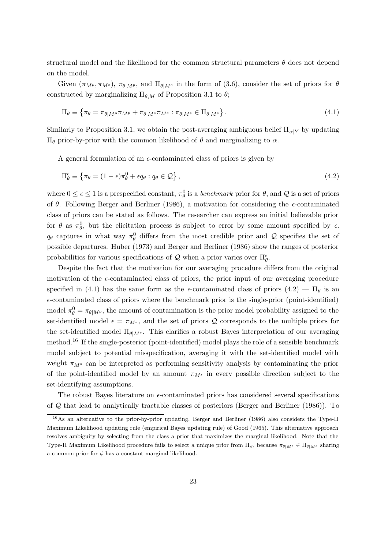structural model and the likelihood for the common structural parameters  $\theta$  does not depend on the model.

Given  $(\pi_{M^p}, \pi_{M^s})$ ,  $\pi_{\theta|M^p}$ , and  $\Pi_{\theta|M^s}$  in the form of (3.6), consider the set of priors for  $\theta$ constructed by marginalizing  $\Pi_{\theta,M}$  of Proposition 3.1 to  $\theta$ ;

$$
\Pi_{\theta} \equiv \left\{ \pi_{\theta} = \pi_{\theta|M^{p}} \pi_{M^{p}} + \pi_{\theta|M^{s}} \pi_{M^{s}} : \pi_{\theta|M^{s}} \in \Pi_{\theta|M^{s}} \right\}.
$$
\n(4.1)

Similarly to Proposition 3.1, we obtain the post-averaging ambiguous belief  $\Pi_{\alpha|Y}$  by updating  $\Pi_{\theta}$  prior-by-prior with the common likelihood of θ and marginalizing to α.

A general formulation of an  $\epsilon$ -contaminated class of priors is given by

$$
\Pi_{\theta}^{\epsilon} \equiv \{ \pi_{\theta} = (1 - \epsilon)\pi_{\theta}^{0} + \epsilon q_{\theta} : q_{\theta} \in \mathcal{Q} \}, \qquad (4.2)
$$

where  $0 \le \epsilon \le 1$  is a prespecified constant,  $\pi_\theta^0$  is a *benchmark* prior for  $\theta$ , and  $\mathcal Q$  is a set of priors of  $\theta$ . Following Berger and Berliner (1986), a motivation for considering the  $\epsilon$ -contaminated class of priors can be stated as follows. The researcher can express an initial believable prior for  $\theta$  as  $\pi_{\theta}^0$ , but the elicitation process is subject to error by some amount specified by  $\epsilon$ .  $q_{\theta}$  captures in what way  $\pi_{\theta}^{0}$  differs from the most credible prior and Q specifies the set of possible departures. Huber (1973) and Berger and Berliner (1986) show the ranges of posterior probabilities for various specifications of  $\mathcal Q$  when a prior varies over  $\Pi_\theta^\epsilon$ .

Despite the fact that the motivation for our averaging procedure differs from the original motivation of the  $\epsilon$ -contaminated class of priors, the prior input of our averaging procedure specified in (4.1) has the same form as the  $\epsilon$ -contaminated class of priors (4.2) —  $\Pi_{\theta}$  is an  $\epsilon$ -contaminated class of priors where the benchmark prior is the single-prior (point-identified) model  $\pi_{\theta}^{0} = \pi_{\theta|M^{p}}$ , the amount of contamination is the prior model probability assigned to the set-identified model  $\epsilon = \pi_{M^s}$ , and the set of priors Q corresponds to the multiple priors for the set-identified model  $\Pi_{\theta|M^s}$ . This clarifies a robust Bayes interpretation of our averaging method.<sup>16</sup> If the single-posterior (point-identified) model plays the role of a sensible benchmark model subject to potential misspecification, averaging it with the set-identified model with weight  $\pi_{M^s}$  can be interpreted as performing sensitivity analysis by contaminating the prior of the point-identified model by an amount  $\pi_{M^s}$  in every possible direction subject to the set-identifying assumptions.

The robust Bayes literature on  $\epsilon$ -contaminated priors has considered several specifications of  $Q$  that lead to analytically tractable classes of posteriors (Berger and Berliner (1986)). To

<sup>&</sup>lt;sup>16</sup>As an alternative to the prior-by-prior updating, Berger and Berliner (1986) also considers the Type-II Maximum Likelihood updating rule (empirical Bayes updating rule) of Good (1965). This alternative approach resolves ambiguity by selecting from the class a prior that maximizes the marginal likelihood. Note that the Type-II Maximum Likelihood procedure fails to select a unique prior from  $\Pi_{\theta}$ , because  $\pi_{\theta|M^s} \in \Pi_{\theta|M^s}$  sharing a common prior for  $\phi$  has a constant marginal likelihood.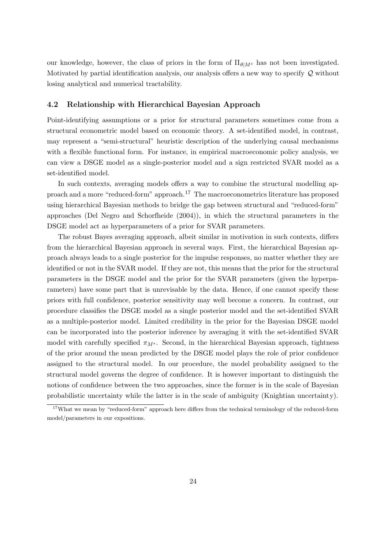our knowledge, however, the class of priors in the form of  $\Pi_{\theta|M^s}$  has not been investigated. Motivated by partial identification analysis, our analysis offers a new way to specify  $\mathcal Q$  without losing analytical and numerical tractability.

## 4.2 Relationship with Hierarchical Bayesian Approach

Point-identifying assumptions or a prior for structural parameters sometimes come from a structural econometric model based on economic theory. A set-identified model, in contrast, may represent a "semi-structural" heuristic description of the underlying causal mechanisms with a flexible functional form. For instance, in empirical macroeconomic policy analysis, we can view a DSGE model as a single-posterior model and a sign restricted SVAR model as a set-identified model.

In such contexts, averaging models offers a way to combine the structural modelling approach and a more "reduced-form" approach.<sup>17</sup> The macroeconometrics literature has proposed using hierarchical Bayesian methods to bridge the gap between structural and "reduced-form" approaches (Del Negro and Schorfheide (2004)), in which the structural parameters in the DSGE model act as hyperparameters of a prior for SVAR parameters.

The robust Bayes averaging approach, albeit similar in motivation in such contexts, differs from the hierarchical Bayesian approach in several ways. First, the hierarchical Bayesian approach always leads to a single posterior for the impulse responses, no matter whether they are identified or not in the SVAR model. If they are not, this means that the prior for the structural parameters in the DSGE model and the prior for the SVAR parameters (given the hyperparameters) have some part that is unrevisable by the data. Hence, if one cannot specify these priors with full confidence, posterior sensitivity may well become a concern. In contrast, our procedure classifies the DSGE model as a single posterior model and the set-identified SVAR as a multiple-posterior model. Limited credibility in the prior for the Bayesian DSGE model can be incorporated into the posterior inference by averaging it with the set-identified SVAR model with carefully specified  $\pi_{M^s}$ . Second, in the hierarchical Bayesian approach, tightness of the prior around the mean predicted by the DSGE model plays the role of prior confidence assigned to the structural model. In our procedure, the model probability assigned to the structural model governs the degree of confidence. It is however important to distinguish the notions of confidence between the two approaches, since the former is in the scale of Bayesian probabilistic uncertainty while the latter is in the scale of ambiguity (Knightian uncertainty).

<sup>&</sup>lt;sup>17</sup>What we mean by "reduced-form" approach here differs from the technical terminology of the reduced-form model/parameters in our expositions.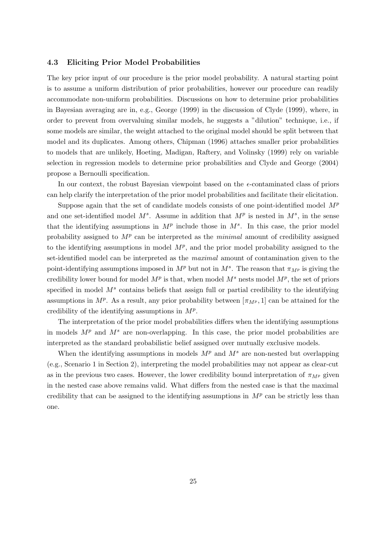### 4.3 Eliciting Prior Model Probabilities

The key prior input of our procedure is the prior model probability. A natural starting point is to assume a uniform distribution of prior probabilities, however our procedure can readily accommodate non-uniform probabilities. Discussions on how to determine prior probabilities in Bayesian averaging are in, e.g., George (1999) in the discussion of Clyde (1999), where, in order to prevent from overvaluing similar models, he suggests a "dilution" technique, i.e., if some models are similar, the weight attached to the original model should be split between that model and its duplicates. Among others, Chipman (1996) attaches smaller prior probabilities to models that are unlikely, Hoeting, Madigan, Raftery, and Volinsky (1999) rely on variable selection in regression models to determine prior probabilities and Clyde and George (2004) propose a Bernoulli specification.

In our context, the robust Bayesian viewpoint based on the  $\epsilon$ -contaminated class of priors can help clarify the interpretation of the prior model probabilities and facilitate their elicitation.

Suppose again that the set of candidate models consists of one point-identified model  $M<sup>p</sup>$ and one set-identified model  $M^s$ . Assume in addition that  $M^p$  is nested in  $M^s$ , in the sense that the identifying assumptions in  $M^p$  include those in  $M^s$ . In this case, the prior model probability assigned to  $M<sup>p</sup>$  can be interpreted as the *minimal* amount of credibility assigned to the identifying assumptions in model  $M<sup>p</sup>$ , and the prior model probability assigned to the set-identified model can be interpreted as the maximal amount of contamination given to the point-identifying assumptions imposed in  $M^p$  but not in  $M^s$ . The reason that  $\pi_{M^p}$  is giving the credibility lower bound for model  $M^p$  is that, when model  $M^s$  nests model  $M^p$ , the set of priors specified in model  $M<sup>s</sup>$  contains beliefs that assign full or partial credibility to the identifying assumptions in  $M^p$ . As a result, any prior probability between  $[\pi_{M^p}, 1]$  can be attained for the credibility of the identifying assumptions in  $M^p$ .

The interpretation of the prior model probabilities differs when the identifying assumptions in models  $M^p$  and  $M^s$  are non-overlapping. In this case, the prior model probabilities are interpreted as the standard probabilistic belief assigned over mutually exclusive models.

When the identifying assumptions in models  $M<sup>p</sup>$  and  $M<sup>s</sup>$  are non-nested but overlapping (e.g., Scenario 1 in Section 2), interpreting the model probabilities may not appear as clear-cut as in the previous two cases. However, the lower credibility bound interpretation of  $\pi_{M^p}$  given in the nested case above remains valid. What differs from the nested case is that the maximal credibility that can be assigned to the identifying assumptions in  $M<sup>p</sup>$  can be strictly less than one.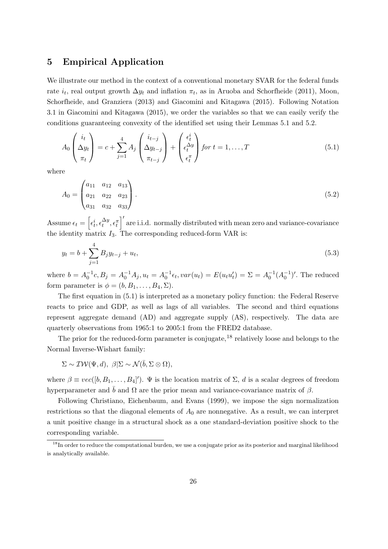## 5 Empirical Application

We illustrate our method in the context of a conventional monetary SVAR for the federal funds rate  $i_t$ , real output growth  $\Delta y_t$  and inflation  $\pi_t$ , as in Aruoba and Schorfheide (2011), Moon, Schorfheide, and Granziera (2013) and Giacomini and Kitagawa (2015). Following Notation 3.1 in Giacomini and Kitagawa (2015), we order the variables so that we can easily verify the conditions guaranteeing convexity of the identified set using their Lemmas 5.1 and 5.2.

$$
A_0 \begin{pmatrix} i_t \\ \Delta y_t \\ \pi_t \end{pmatrix} = c + \sum_{j=1}^4 A_j \begin{pmatrix} i_{t-j} \\ \Delta y_{t-j} \\ \pi_{t-j} \end{pmatrix} + \begin{pmatrix} \epsilon_t^i \\ \epsilon_t^{\Delta y} \\ \epsilon_t^{\pi} \end{pmatrix} \text{ for } t = 1, ..., T
$$
 (5.1)

where

$$
A_0 = \begin{pmatrix} a_{11} & a_{12} & a_{13} \\ a_{21} & a_{22} & a_{23} \\ a_{31} & a_{32} & a_{33} \end{pmatrix} . \tag{5.2}
$$

Assume  $\epsilon_t = \left[\epsilon_t^i, \epsilon_t^{\Delta y}, \epsilon_t^{\pi}\right]$  $i^{\prime}$  are i.i.d. normally distributed with mean zero and variance-covariance the identity matrix  $I_3$ . The corresponding reduced-form VAR is:

$$
y_t = b + \sum_{j=1}^{4} B_j y_{t-j} + u_t,
$$
\n(5.3)

where  $b = A_0^{-1}c, B_j = A_0^{-1}A_j, u_t = A_0^{-1}\epsilon_t, var(u_t) = E(u_tu_t') = \Sigma = A_0^{-1}(A_0^{-1})'$ . The reduced form parameter is  $\phi = (b, B_1, \ldots, B_4, \Sigma).$ 

The first equation in (5.1) is interpreted as a monetary policy function: the Federal Reserve reacts to price and GDP, as well as lags of all variables. The second and third equations represent aggregate demand (AD) and aggregate supply (AS), respectively. The data are quarterly observations from 1965:1 to 2005:1 from the FRED2 database.

The prior for the reduced-form parameter is conjugate,  $^{18}$  relatively loose and belongs to the Normal Inverse-Wishart family:

$$
\Sigma \sim \mathcal{IW}(\Psi, d), \ \beta | \Sigma \sim \mathcal{N}(\bar{b}, \Sigma \otimes \Omega),
$$

where  $\beta \equiv vec([b, B_1, \ldots, B_4])$ .  $\Psi$  is the location matrix of  $\Sigma$ , d is a scalar degrees of freedom hyperparameter and  $\bar{b}$  and  $\Omega$  are the prior mean and variance-covariance matrix of  $\beta$ .

Following Christiano, Eichenbaum, and Evans (1999), we impose the sign normalization restrictions so that the diagonal elements of  $A_0$  are nonnegative. As a result, we can interpret a unit positive change in a structural shock as a one standard-deviation positive shock to the corresponding variable.

<sup>&</sup>lt;sup>18</sup>In order to reduce the computational burden, we use a conjugate prior as its posterior and marginal likelihood is analytically available.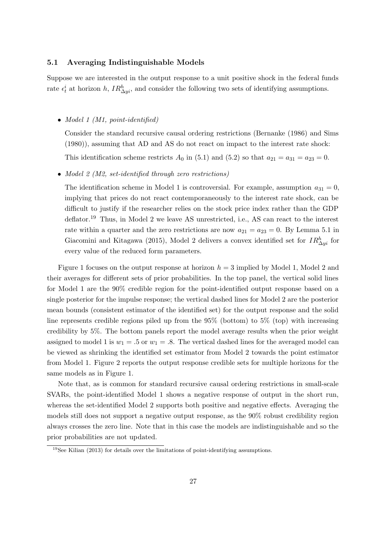## 5.1 Averaging Indistinguishable Models

Suppose we are interested in the output response to a unit positive shock in the federal funds rate  $\epsilon_t^i$  at horizon h,  $IR_{\Delta y_i}^h$ , and consider the following two sets of identifying assumptions.

• Model 1 (M1, point-identified)

Consider the standard recursive causal ordering restrictions (Bernanke (1986) and Sims (1980)), assuming that AD and AS do not react on impact to the interest rate shock:

This identification scheme restricts  $A_0$  in (5.1) and (5.2) so that  $a_{21} = a_{31} = a_{23} = 0$ .

• Model 2 (M2, set-identified through zero restrictions)

The identification scheme in Model 1 is controversial. For example, assumption  $a_{31} = 0$ , implying that prices do not react contemporaneously to the interest rate shock, can be difficult to justify if the researcher relies on the stock price index rather than the GDP deflator.<sup>19</sup> Thus, in Model 2 we leave AS unrestricted, i.e., AS can react to the interest rate within a quarter and the zero restrictions are now  $a_{21} = a_{23} = 0$ . By Lemma 5.1 in Giacomini and Kitagawa (2015), Model 2 delivers a convex identified set for  $IR_{\Delta yi}^h$  for every value of the reduced form parameters.

Figure 1 focuses on the output response at horizon  $h = 3$  implied by Model 1, Model 2 and their averages for different sets of prior probabilities. In the top panel, the vertical solid lines for Model 1 are the 90% credible region for the point-identified output response based on a single posterior for the impulse response; the vertical dashed lines for Model 2 are the posterior mean bounds (consistent estimator of the identified set) for the output response and the solid line represents credible regions piled up from the 95% (bottom) to 5% (top) with increasing credibility by 5%. The bottom panels report the model average results when the prior weight assigned to model 1 is  $w_1 = .5$  or  $w_1 = .8$ . The vertical dashed lines for the averaged model can be viewed as shrinking the identified set estimator from Model 2 towards the point estimator from Model 1. Figure 2 reports the output response credible sets for multiple horizons for the same models as in Figure 1.

Note that, as is common for standard recursive causal ordering restrictions in small-scale SVARs, the point-identified Model 1 shows a negative response of output in the short run, whereas the set-identified Model 2 supports both positive and negative effects. Averaging the models still does not support a negative output response, as the 90% robust credibility region always crosses the zero line. Note that in this case the models are indistinguishable and so the prior probabilities are not updated.

 $19$ See Kilian (2013) for details over the limitations of point-identifying assumptions.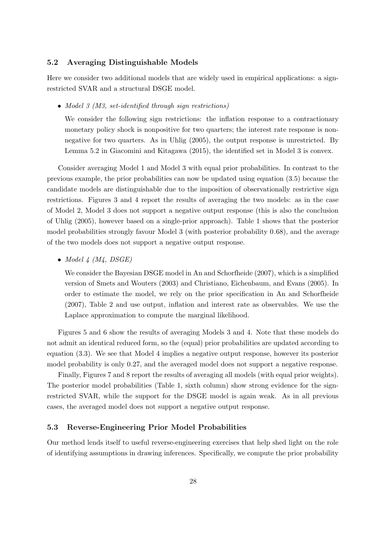## 5.2 Averaging Distinguishable Models

Here we consider two additional models that are widely used in empirical applications: a signrestricted SVAR and a structural DSGE model.

• Model 3 (M3, set-identified through sign restrictions)

We consider the following sign restrictions: the inflation response to a contractionary monetary policy shock is nonpositive for two quarters; the interest rate response is nonnegative for two quarters. As in Uhlig (2005), the output response is unrestricted. By Lemma 5.2 in Giacomini and Kitagawa (2015), the identified set in Model 3 is convex.

Consider averaging Model 1 and Model 3 with equal prior probabilities. In contrast to the previous example, the prior probabilities can now be updated using equation (3.5) because the candidate models are distinguishable due to the imposition of observationally restrictive sign restrictions. Figures 3 and 4 report the results of averaging the two models: as in the case of Model 2, Model 3 does not support a negative output response (this is also the conclusion of Uhlig (2005), however based on a single-prior approach). Table 1 shows that the posterior model probabilities strongly favour Model 3 (with posterior probability 0.68), and the average of the two models does not support a negative output response.

• Model  $4$   $(M4, DSGE)$ 

We consider the Bayesian DSGE model in An and Schorfheide (2007), which is a simplified version of Smets and Wouters (2003) and Christiano, Eichenbaum, and Evans (2005). In order to estimate the model, we rely on the prior specification in An and Schorfheide (2007), Table 2 and use output, inflation and interest rate as observables. We use the Laplace approximation to compute the marginal likelihood.

Figures 5 and 6 show the results of averaging Models 3 and 4. Note that these models do not admit an identical reduced form, so the (equal) prior probabilities are updated according to equation (3.3). We see that Model 4 implies a negative output response, however its posterior model probability is only 0.27, and the averaged model does not support a negative response.

Finally, Figures 7 and 8 report the results of averaging all models (with equal prior weights). The posterior model probabilities (Table 1, sixth column) show strong evidence for the signrestricted SVAR, while the support for the DSGE model is again weak. As in all previous cases, the averaged model does not support a negative output response.

## 5.3 Reverse-Engineering Prior Model Probabilities

Our method lends itself to useful reverse-engineering exercises that help shed light on the role of identifying assumptions in drawing inferences. Specifically, we compute the prior probability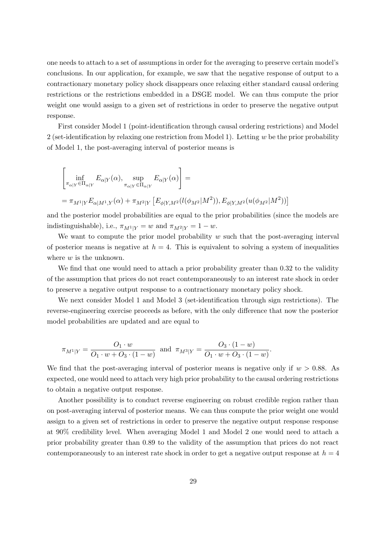one needs to attach to a set of assumptions in order for the averaging to preserve certain model's conclusions. In our application, for example, we saw that the negative response of output to a contractionary monetary policy shock disappears once relaxing either standard causal ordering restrictions or the restrictions embedded in a DSGE model. We can thus compute the prior weight one would assign to a given set of restrictions in order to preserve the negative output response.

First consider Model 1 (point-identification through causal ordering restrictions) and Model 2 (set-identification by relaxing one restriction from Model 1). Letting  $w$  be the prior probability of Model 1, the post-averaging interval of posterior means is

$$
\left[\inf_{\pi_{\alpha|Y}\in\Pi_{\alpha|Y}} E_{\alpha|Y}(\alpha), \sup_{\pi_{\alpha|Y}\in\Pi_{\alpha|Y}} E_{\alpha|Y}(\alpha)\right] =
$$
\n
$$
= \pi_{M^{1}|Y} E_{\alpha|M^{1},Y}(\alpha) + \pi_{M^{2}|Y} \left[E_{\phi|Y,M^{2}}(l(\phi_{M^{2}}|M^{2})), E_{\phi|Y,M^{2}}(u(\phi_{M^{2}}|M^{2}))\right]
$$

and the posterior model probabilities are equal to the prior probabilities (since the models are indistinguishable), i.e.,  $\pi_{M^1|Y} = w$  and  $\pi_{M^2|Y} = 1 - w$ .

We want to compute the prior model probability  $w$  such that the post-averaging interval of posterior means is negative at  $h = 4$ . This is equivalent to solving a system of inequalities where  $w$  is the unknown.

We find that one would need to attach a prior probability greater than 0.32 to the validity of the assumption that prices do not react contemporaneously to an interest rate shock in order to preserve a negative output response to a contractionary monetary policy shock.

We next consider Model 1 and Model 3 (set-identification through sign restrictions). The reverse-engineering exercise proceeds as before, with the only difference that now the posterior model probabilities are updated and are equal to

$$
\pi_{M^{1}|Y} = \frac{O_{1} \cdot w}{O_{1} \cdot w + O_{3} \cdot (1 - w)} \text{ and } \pi_{M^{3}|Y} = \frac{O_{3} \cdot (1 - w)}{O_{1} \cdot w + O_{3} \cdot (1 - w)}.
$$

We find that the post-averaging interval of posterior means is negative only if  $w > 0.88$ . As expected, one would need to attach very high prior probability to the causal ordering restrictions to obtain a negative output response.

Another possibility is to conduct reverse engineering on robust credible region rather than on post-averaging interval of posterior means. We can thus compute the prior weight one would assign to a given set of restrictions in order to preserve the negative output response response at 90% credibility level. When averaging Model 1 and Model 2 one would need to attach a prior probability greater than 0.89 to the validity of the assumption that prices do not react contemporaneously to an interest rate shock in order to get a negative output response at  $h = 4$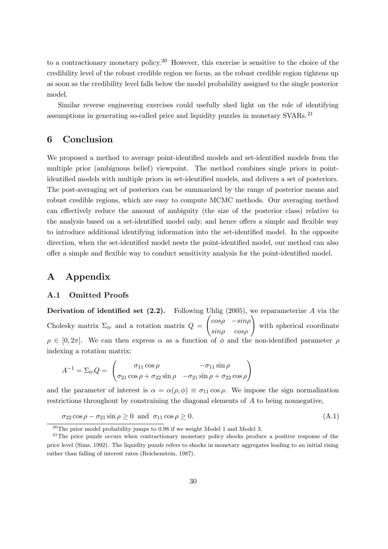to a contractionary monetary policy.<sup>20</sup> However, this exercise is sensitive to the choice of the credibility level of the robust credible region we focus, as the robust credible region tightens up as soon as the credibility level falls below the model probability assigned to the single posterior model.

Similar reverse engineering exercises could usefully shed light on the role of identifying assumptions in generating so-called price and liquidity puzzles in monetary SVARs.<sup>21</sup>

## 6 Conclusion

We proposed a method to average point-identified models and set-identified models from the multiple prior (ambiguous belief) viewpoint. The method combines single priors in pointidentified models with multiple priors in set-identified models, and delivers a set of posteriors. The post-averaging set of posteriors can be summarized by the range of posterior means and robust credible regions, which are easy to compute MCMC methods. Our averaging method can effectively reduce the amount of ambiguity (the size of the posterior class) relative to the analysis based on a set-identified model only, and hence offers a simple and flexible way to introduce additional identifying information into the set-identified model. In the opposite direction, when the set-identified model nests the point-identified model, our method can also offer a simple and flexible way to conduct sensitivity analysis for the point-identified model.

## A Appendix

## A.1 Omitted Proofs

**Derivation of identified set (2.2).** Following Uhlig (2005), we reparameterize A via the Cholesky matrix  $\Sigma_{tr}$  and a rotation matrix  $Q =$  $\begin{pmatrix} \cos\rho & -\sin\rho \\ \sin\rho & \cos\rho \end{pmatrix}$ with spherical coordinate  $\rho \in [0, 2\pi]$ . We can then express  $\alpha$  as a function of  $\phi$  and the non-identified parameter  $\rho$ indexing a rotation matrix;

$$
A^{-1} = \Sigma_{tr} Q = \begin{pmatrix} \sigma_{11} \cos \rho & -\sigma_{11} \sin \rho \\ \sigma_{21} \cos \rho + \sigma_{22} \sin \rho & -\sigma_{21} \sin \rho + \sigma_{22} \cos \rho \end{pmatrix}
$$

and the parameter of interest is  $\alpha = \alpha(\rho, \phi) \equiv \sigma_{11} \cos \rho$ . We impose the sign normalization restrictions throughout by constraining the diagonal elements of A to being nonnegative,

$$
\sigma_{22} \cos \rho - \sigma_{21} \sin \rho \ge 0 \text{ and } \sigma_{11} \cos \rho \ge 0. \tag{A.1}
$$

 $^{20}$ The prior model probability jumps to 0.98 if we weight Model 1 and Model 3.

<sup>&</sup>lt;sup>21</sup>The price puzzle occurs when contractionary monetary policy shocks produce a positive response of the price level (Sims, 1992). The liquidity puzzle refers to shocks in monetary aggregates leading to an initial rising rather than falling of interest rates (Reichenstein, 1987).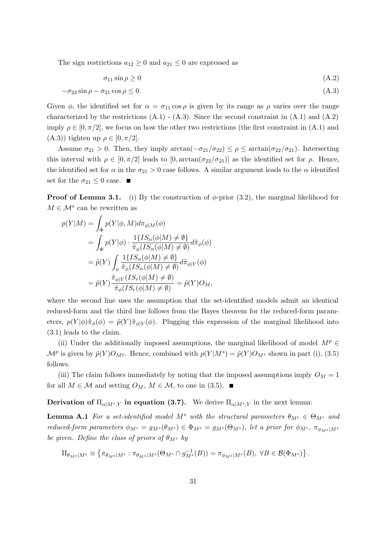The sign restrictions  $a_{12} \geq 0$  and  $a_{21} \leq 0$  are expressed as

$$
\sigma_{11}\sin\rho \ge 0\tag{A.2}
$$

$$
-\sigma_{22}\sin\rho - \sigma_{21}\cos\rho \le 0. \tag{A.3}
$$

Given  $\phi$ , the identified set for  $\alpha = \sigma_{11} \cos \rho$  is given by its range as  $\rho$  varies over the range characterized by the restrictions  $(A.1)$  -  $(A.3)$ . Since the second constraint in  $(A.1)$  and  $(A.2)$ imply  $\rho \in [0, \pi/2]$ , we focus on how the other two restrictions (the first constraint in (A.1) and (A.3)) tighten up  $\rho \in [0, \pi/2]$ .

Assume  $\sigma_{21} > 0$ . Then, they imply  $\arctan(-\sigma_{21}/\sigma_{22}) \leq \rho \leq \arctan(\sigma_{22}/\sigma_{21})$ . Intersecting this interval with  $\rho \in [0, \pi/2]$  leads to  $[0, \arctan(\sigma_{22}/\sigma_{21})]$  as the identified set for  $\rho$ . Hence, the identified set for  $\alpha$  in the  $\sigma_{21} > 0$  case follows. A similar argument leads to the  $\alpha$  identified set for the  $\sigma_{21} \leq 0$  case.

**Proof of Lemma 3.1.** (i) By the construction of  $\phi$ -prior (3.2), the marginal likelihood for  $M \in \mathcal{M}^s$  can be rewritten as

$$
p(Y|M) = \int_{\Phi} p(Y|\phi, M) d\pi_{\phi|M}(\phi)
$$
  
= 
$$
\int_{\Phi} p(Y|\phi) \cdot \frac{1\{IS_{\alpha}(\phi|M) \neq \emptyset\}}{\tilde{\pi}_{\phi}(IS_{\alpha}(\phi|M) \neq \emptyset)} d\tilde{\pi}_{\phi}(\phi)
$$
  
= 
$$
\tilde{p}(Y) \int_{\phi} \frac{1\{IS_{\alpha}(\phi|M) \neq \emptyset\}}{\tilde{\pi}_{\phi}(IS_{\alpha}(\phi|M) \neq \emptyset)} d\tilde{\pi}_{\phi|Y}(\phi)
$$
  
= 
$$
\tilde{p}(Y) \frac{\tilde{\pi}_{\phi|Y}(IS_{r}(\phi|M) \neq \emptyset)}{\tilde{\pi}_{\phi}(IS_{r}(\phi|M) \neq \emptyset)} = \tilde{p}(Y)O_{M},
$$

where the second line uses the assumption that the set-identified models admit an identical reduced-form and the third line follows from the Bayes theorem for the reduced-form parameters,  $p(Y|\phi) \tilde{\pi}_{\phi}(\phi) = \tilde{p}(Y) \tilde{\pi}_{\phi|Y}(\phi)$ . Plugging this expression of the marginal likelihood into (3.1) leads to the claim.

(ii) Under the additionally imposed assumptions, the marginal likelihood of model  $M^p \in$  $\mathcal{M}^p$  is given by  $\tilde{p}(Y)O_{M^p}$ . Hence, combined with  $p(Y|M^s) = \tilde{p}(Y)O_{M^s}$  shown in part (i), (3.5) follows.

(iii) The claim follows immediately by noting that the imposed assumptions imply  $O_M = 1$ for all  $M \in \mathcal{M}$  and setting  $O_M$ ,  $M \in \mathcal{M}$ , to one in (3.5).

**Derivation of**  $\Pi_{\alpha|M^{s},Y}$  in equation (3.7). We derive  $\Pi_{\alpha|M^{s},Y}$  in the next lemma:

**Lemma A.1** For a set-identified model M<sup>s</sup> with the structural parameters  $\theta_{M^s} \in \Theta_{M^s}$  and reduced-form parameters  $\phi_{M^s} = g_{M^s}(\theta_{M^s}) \in \Phi_{M^s} = g_{M^s}(\Theta_{M^s})$ , let a prior for  $\phi_{M^s}$ ,  $\pi_{\phi_{M^s}|M^s}$ be given. Define the class of priors of  $\theta_M$  by

$$
\Pi_{\theta_M s|M^s} \equiv \left\{ \pi_{\theta_M s|M^s} : \pi_{\theta_M s|M^s}(\Theta_M s \cap g^{-1}_{M^s}(B)) = \pi_{\phi_M s|M^s}(B), \ \forall B \in \mathcal{B}(\Phi_M s) \right\}.
$$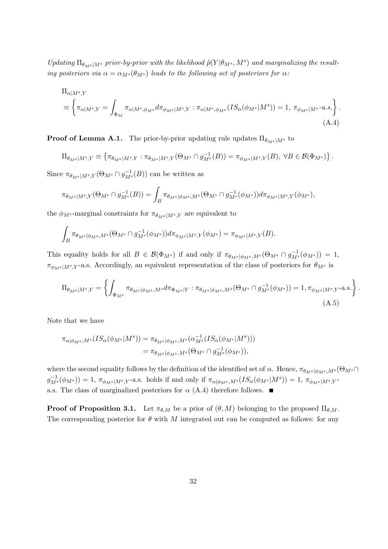Updating  $\Pi_{\theta_{M^s}|M^s}$  prior-by-prior with the likelihood  $\tilde{p}(Y|\theta_{M^s},M^s)$  and marginalizing the resulting posteriors via  $\alpha = \alpha_{M^s}(\theta_M)$  leads to the following set of posteriors for  $\alpha$ :

$$
\Pi_{\alpha|M^s,Y}
$$
\n
$$
\equiv \left\{ \pi_{\alpha|M^s,Y} = \int_{\Phi_M} \pi_{\alpha|M^s,\phi_{M^s}} d\pi_{\phi_{M^s}|M^s,Y} : \pi_{\alpha|M^s,\phi_{M^s}} (IS_{\alpha}(\phi_{M^s}|M^s)) = 1, \pi_{\phi_{M^s}|M^s} \text{--a.s.} \right\}.
$$
\n(A.4)

**Proof of Lemma A.1.** The prior-by-prior updating rule updates  $\Pi_{\theta_{M^s}|M^s}$  to

$$
\Pi_{\theta_M s|M^s,Y} \equiv \left\{ \pi_{\theta_M s|M^s,Y} : \pi_{\theta_M s|M^s,Y}(\Theta_M s \cap g^{-1}_{M^s}(B)) = \pi_{\phi_M s|M^s,Y}(B), \ \forall B \in \mathcal{B}(\Phi_M s) \right\}.
$$

Since  $\pi_{\theta_M s|M^s,Y}(\Theta_M s \cap g_M^{-1}(B))$  can be written as

$$
\pi_{\theta_M s|M^s,Y}(\Theta_M s \cap g_{M^s}^{-1}(B)) = \int_B \pi_{\theta_M s|\phi_M s,M^s}(\Theta_M s \cap g_{M^s}^{-1}(\phi_M s)) d\pi_{\phi_M s|M^s,Y}(\phi_M s),
$$

the  $\phi_{M^s}$ -marginal constraints for  $\pi_{\theta_M s|M^s,Y}$  are equivalent to

$$
\int_B \pi_{\theta_M s\,|\phi_M s,M^s}(\Theta_{M^s}\cap g^{-1}_{M^s}(\phi_{M^s}))d\pi_{\phi_M s|M^s,Y}(\phi_{M^s})=\pi_{\phi_M s|M^s,Y}(B).
$$

This equality holds for all  $B \in \mathcal{B}(\Phi_{M^s})$  if and only if  $\pi_{\theta_{M^s}|\phi_{M^s},M^s}(\Theta_{M^s} \cap g_{M^s}^{-1}(\phi_{M^s})) = 1$ ,  $\pi_{\phi_{M^s}|M^s,Y}$ -a.s. Accordingly, an equivalent representation of the class of posteriors for  $\theta_{M^s}$  is

$$
\Pi_{\theta_M s|M^s,Y} = \left\{ \int_{\Phi_M s} \pi_{\theta_M s|\phi_M s,M^s} d\pi_{\Phi_M s|Y} : \pi_{\theta_M s|\phi_M s,M^s}(\Theta_M s \cap g_{M^s}^{-1}(\phi_M s)) = 1, \pi_{\phi_M s|M^s,Y} \text{-a.s.} \right\}.
$$
\n(A.5)

Note that we have

$$
\pi_{\alpha|\phi_{M^s},M^s}(IS_{\alpha}(\phi_{M^s}|M^s)) = \pi_{\theta_{M^s}|\phi_{M^s},M^s}(\alpha_{M^s}^{-1}(IS_{\alpha}(\phi_{M^s}|M^s)))
$$
  

$$
= \pi_{\theta_{M^s}|\phi_{M^s},M^s}(\Theta_{M^s} \cap g_{M^s}^{-1}(\phi_{M^s})),
$$

where the second equality follows by the definition of the identified set of  $\alpha$ . Hence,  $\pi_{\theta_M s | \phi_M s, M^s}(\Theta_M s \cap$  $g_{M^s}^{-1}(\phi_{M^s})$  = 1,  $\pi_{\phi_{M^s}|M^s,Y}$ -a.s. holds if and only if  $\pi_{\alpha|\phi_{M^s},M^s}(IS_{\alpha}(\phi_{M^s}|M^s)) = 1$ ,  $\pi_{\phi_{M^s}|M^s,Y}$ a.s. The class of marginalized posteriors for  $\alpha$  (A.4) therefore follows.

**Proof of Proposition 3.1.** Let  $\pi_{\theta,M}$  be a prior of  $(\theta, M)$  belonging to the proposed  $\Pi_{\theta,M}$ . The corresponding posterior for  $\theta$  with M integrated out can be computed as follows: for any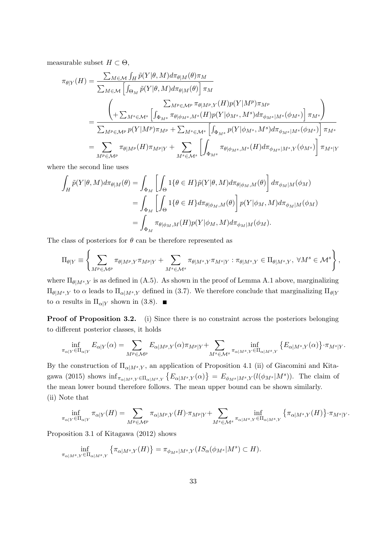measurable subset  $H \subset \Theta$ ,

$$
\pi_{\theta|Y}(H) = \frac{\sum_{M \in \mathcal{M}} \int_H \tilde{p}(Y|\theta, M) d\pi_{\theta|M}(\theta) \pi_M}{\sum_{M \in \mathcal{M}} \left[ \int_{\Theta_M} \tilde{p}(Y|\theta, M) d\pi_{\theta|M}(\theta) \right] \pi_M}
$$
\n
$$
= \frac{\left( \sum_{M^p \in \mathcal{M}^p} \frac{\sum_{M^p \in \mathcal{M}^p} \pi_{\theta|M^p, Y}(H) p(Y|M^p) \pi_{M^p}}{\sum_{M^p \in \mathcal{M}^p} p(Y|M^p) \pi_{M^p} + \sum_{M^s \in \mathcal{M}^s} \left[ \int_{\Phi_{M^s}} p(Y|\phi_{M^s}, M^s) d\pi_{\phi_{M^s}|M^s}(\phi_{M^s}) \right] \pi_{M^s}} \right]}{ \sum_{M^p \in \mathcal{M}^p} \pi_{\theta|M^p}(H) \pi_{M^p} + \sum_{M^s \in \mathcal{M}^s} \left[ \int_{\Phi_{M^s}} \pi_{\theta|\phi_{M^s}, M^s}(H) d\pi_{\phi_{M^s}|M^s, Y}(\phi_{M^s}) \right] \pi_{M^s}|Y}
$$

where the second line uses

$$
\int_{H} \tilde{p}(Y|\theta, M) d\pi_{\theta|M}(\theta) = \int_{\Phi_{M}} \left[ \int_{\Theta} 1\{\theta \in H\} \tilde{p}(Y|\theta, M) d\pi_{\theta|\phi_{M}, M}(\theta) \right] d\pi_{\phi_{M}|M}(\phi_{M})
$$
\n
$$
= \int_{\Phi_{M}} \left[ \int_{\Theta} 1\{\theta \in H\} d\pi_{\theta|\phi_{M}, M}(\theta) \right] p(Y|\phi_{M}, M) d\pi_{\phi_{M}|M}(\phi_{M})
$$
\n
$$
= \int_{\Phi_{M}} \pi_{\theta|\phi_{M}, M}(H) p(Y|\phi_{M}, M) d\pi_{\phi_{M}|M}(\phi_{M}).
$$

The class of posteriors for  $\theta$  can be therefore represented as

$$
\Pi_{\theta|Y} \equiv \left\{ \sum_{M^p \in \mathcal{M}^p} \pi_{\theta|M^p,Y} \pi_{M^p|Y} + \sum_{M^s \in \mathcal{M}^s} \pi_{\theta|M^s,Y} \pi_{M^s|Y} : \pi_{\theta|M^s,Y} \in \Pi_{\theta|M^s,Y}, \ \forall M^s \in \mathcal{M}^s \right\},
$$

where  $\Pi_{\theta|M^s,Y}$  is as defined in (A.5). As shown in the proof of Lemma A.1 above, marginalizing  $\Pi_{\theta|M^s,Y}$  to  $\alpha$  leads to  $\Pi_{\alpha|M^s,Y}$  defined in (3.7). We therefore conclude that marginalizing  $\Pi_{\theta|Y}$ to  $\alpha$  results in  $\Pi_{\alpha|Y}$  shown in (3.8).

Proof of Proposition 3.2. (i) Since there is no constraint across the posteriors belonging to different posterior classes, it holds

$$
\inf_{\pi_{\alpha|Y}\in\Pi_{\alpha|Y}}E_{\alpha|Y}(\alpha)=\sum_{M^p\in\mathcal{M}^p}E_{\alpha|M^p,Y}(\alpha)\pi_{M^p|Y}+\sum_{M^s\in\mathcal{M}^s}\inf_{\pi_{\alpha|M^s,Y}\in\Pi_{\alpha|M^s,Y}}\left\{E_{\alpha|M^s,Y}(\alpha)\right\}\cdot\pi_{M^s|Y}.
$$

By the construction of  $\Pi_{\alpha|M^s,Y}$ , an application of Proposition 4.1 (ii) of Giacomini and Kitagawa (2015) shows  $\inf_{\pi_{\alpha|M^s,Y}\in\Pi_{\alpha|M^s,Y}}\left\{E_{\alpha|M^s,Y}(\alpha)\right\} = E_{\phi_{M^s}|M^s,Y}(l(\phi_{M^s}|M^s)).$  The claim of the mean lower bound therefore follows. The mean upper bound can be shown similarly. (ii) Note that

$$
\inf_{\pi_{\alpha|Y}\in\Pi_{\alpha|Y}}\pi_{\alpha|Y}(H)=\sum_{M^p\in\mathcal{M}^p}\pi_{\alpha|M^p,Y}(H)\cdot\pi_{M^p|Y}+\sum_{M^s\in\mathcal{M}^s}\inf_{\pi_{\alpha|M^s,Y}\in\Pi_{\alpha|M^s,Y}}\left\{\pi_{\alpha|M^s,Y}(H)\right\}\cdot\pi_{M^s|Y}.
$$

Proposition 3.1 of Kitagawa (2012) shows

$$
\inf_{\pi_{\alpha|M^s,Y}\in\Pi_{\alpha|M^s,Y}}\left\{\pi_{\alpha|M^s,Y}(H)\right\}=\pi_{\phi_{M^s}|M^s,Y}(IS_{\alpha}(\phi_{M^s}|M^s)\subset H).
$$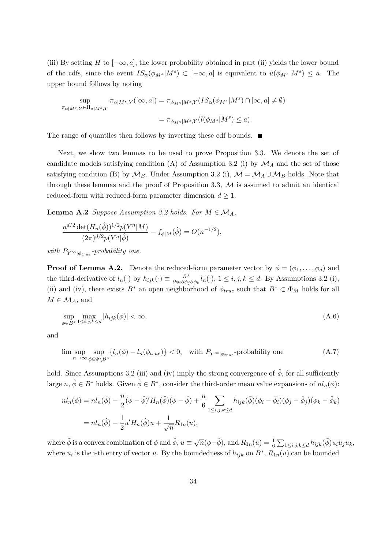(iii) By setting H to  $[-\infty, a]$ , the lower probability obtained in part (ii) yields the lower bound of the cdfs, since the event  $IS_{\alpha}(\phi_{M^s}|M^s) \subset [-\infty, a]$  is equivalent to  $u(\phi_{M^s}|M^s) \leq a$ . The upper bound follows by noting

$$
\sup_{\pi_{\alpha|M^s,Y}\in\Pi_{\alpha|M^s,Y}}\pi_{\alpha|M^s,Y}([\infty,a]) = \pi_{\phi_{M^s}|M^s,Y}(IS_{\alpha}(\phi_{M^s}|M^s)\cap[\infty,a] \neq \emptyset)
$$

$$
= \pi_{\phi_{M^s}|M^s,Y}(l(\phi_{M^s}|M^s) \leq a).
$$

The range of quantiles then follows by inverting these cdf bounds.  $\blacksquare$ 

Next, we show two lemmas to be used to prove Proposition 3.3. We denote the set of candidate models satisfying condition (A) of Assumption 3.2 (i) by  $\mathcal{M}_A$  and the set of those satisfying condition (B) by  $\mathcal{M}_B$ . Under Assumption 3.2 (i),  $\mathcal{M} = \mathcal{M}_A \cup \mathcal{M}_B$  holds. Note that through these lemmas and the proof of Proposition 3.3,  $M$  is assumed to admit an identical reduced-form with reduced-form parameter dimension  $d \geq 1$ .

**Lemma A.2** Suppose Assumption 3.2 holds. For  $M \in \mathcal{M}_A$ ,

$$
\frac{n^{d/2} \det(H_n(\hat{\phi}))^{1/2} p(Y^n | M)}{(2\pi)^{d/2} p(Y^n | \hat{\phi})} - f_{\phi|M}(\hat{\phi}) = O(n^{-1/2}),
$$

with  $P_{Y^{\infty}|\phi_{true}}$ -probability one.

**Proof of Lemma A.2.** Denote the reduced-form parameter vector by  $\phi = (\phi_1, \dots, \phi_d)$  and the third-derivative of  $l_n(\cdot)$  by  $h_{ijk}(\cdot) \equiv \frac{\partial^3}{\partial \phi_i \partial \phi_j \partial \phi_k} l_n(\cdot)$ ,  $1 \le i, j, k \le d$ . By Assumptions 3.2 (i), (ii) and (iv), there exists  $B^*$  an open neighborhood of  $\phi_{true}$  such that  $B^* \subset \Phi_M$  holds for all  $M \in \mathcal{M}_A$ , and

$$
\sup_{\phi \in B^*} \max_{1 \le i,j,k \le d} |h_{ijk}(\phi)| < \infty,\tag{A.6}
$$

and

$$
\limsup_{n \to \infty} \sup_{\phi \in \Phi \backslash B^*} \{ l_n(\phi) - l_n(\phi_{true}) \} < 0, \quad \text{with } P_{Y^{\infty}|\phi_{true}}\text{-probability one} \tag{A.7}
$$

hold. Since Assumptions 3.2 (iii) and (iv) imply the strong convergence of  $\hat{\phi}$ , for all sufficiently large  $n, \hat{\phi} \in B^*$  holds. Given  $\hat{\phi} \in B^*$ , consider the third-order mean value expansions of  $nl_n(\phi)$ :

$$
nl_n(\phi) = nl_n(\hat{\phi}) - \frac{n}{2}(\phi - \hat{\phi})'H_n(\hat{\phi})(\phi - \hat{\phi}) + \frac{n}{6} \sum_{1 \le i,j,k \le d} h_{ijk}(\tilde{\phi})(\phi_i - \hat{\phi}_i)(\phi_j - \hat{\phi}_j)(\phi_k - \hat{\phi}_k)
$$
  
= 
$$
nl_n(\hat{\phi}) - \frac{1}{2}u'H_n(\hat{\phi})u + \frac{1}{\sqrt{n}}R_{1n}(u),
$$

where  $\tilde{\phi}$  is a convex combination of  $\phi$  and  $\hat{\phi}$ ,  $u \equiv \sqrt{n}(\phi - \hat{\phi})$ , and  $R_{1n}(u) = \frac{1}{6} \sum_{1 \leq i,j,k \leq d} h_{ijk}(\tilde{\phi}) u_i u_j u_k$ , where  $u_i$  is the i-th entry of vector u. By the boundedness of  $h_{ijk}$  on  $B^*$ ,  $R_{1n}(u)$  can be bounded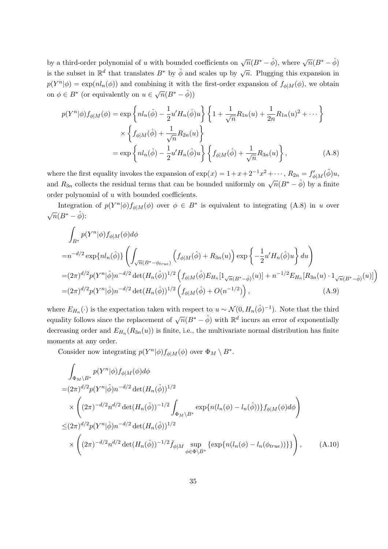by a third-order polynomial of u with bounded coefficients on  $\sqrt{n}(B^* - \hat{\phi})$ , where  $\sqrt{n}(B^* - \hat{\phi})$ is the subset in  $\mathbb{R}^d$  that translates  $B^*$  by  $\hat{\phi}$  and scales up by  $\sqrt{n}$ . Plugging this expansion in  $p(Y^n|\phi) = \exp(n l_n(\phi))$  and combining it with the first-order expansion of  $f_{\phi|M}(\phi)$ , we obtain on  $\phi \in B^*$  (or equivalently on  $u \in \sqrt{n}(B^* - \hat{\phi})$ )

$$
p(Y^{n}|\phi) f_{\phi|M}(\phi) = \exp \left\{ nl_{n}(\hat{\phi}) - \frac{1}{2} u' H_{n}(\hat{\phi}) u \right\} \left\{ 1 + \frac{1}{\sqrt{n}} R_{1n}(u) + \frac{1}{2n} R_{1n}(u)^{2} + \cdots \right\}
$$

$$
\times \left\{ f_{\phi|M}(\hat{\phi}) + \frac{1}{\sqrt{n}} R_{2n}(u) \right\}
$$

$$
= \exp \left\{ nl_{n}(\hat{\phi}) - \frac{1}{2} u' H_{n}(\hat{\phi}) u \right\} \left\{ f_{\phi|M}(\hat{\phi}) + \frac{1}{\sqrt{n}} R_{3n}(u) \right\}, \tag{A.8}
$$

where the first equality invokes the expansion of  $\exp(x) = 1 + x + 2^{-1}x^2 + \cdots$ ,  $R_{2n} = f'_{\phi|M}(\tilde{\phi})u$ , and  $R_{3n}$  collects the residual terms that can be bounded uniformly on  $\sqrt{n}(B^* - \hat{\phi})$  by a finite order polynomial of  $u$  with bounded coefficients.

Integration of  $p(Y^n|\phi) f_{\phi|M}(\phi)$  over  $\phi \in B^*$  is equivalent to integrating (A.8) in u over  $\sqrt{n}(B^* - \hat{\phi})$ :

$$
\int_{B^*} p(Y^n|\phi) f_{\phi|M}(\phi) d\phi
$$
\n
$$
= n^{-d/2} \exp\{nl_n(\hat{\phi})\} \left( \int_{\sqrt{n}(B^* - \phi_{true})} \left( f_{\phi|M}(\hat{\phi}) + R_{3n}(u) \right) \exp\left\{ -\frac{1}{2} u'H_n(\hat{\phi})u \right\} du \right)
$$
\n
$$
= (2\pi)^{d/2} p(Y^n|\hat{\phi}) n^{-d/2} \det(H_n(\hat{\phi}))^{1/2} \left( f_{\phi|M}(\hat{\phi}) E_{H_n}[1_{\sqrt{n}(B^* - \hat{\phi})}(u)] + n^{-1/2} E_{H_n}[R_{3n}(u) \cdot 1_{\sqrt{n}(B^* - \hat{\phi})}(u)] \right)
$$
\n
$$
= (2\pi)^{d/2} p(Y^n|\hat{\phi}) n^{-d/2} \det(H_n(\hat{\phi}))^{1/2} \left( f_{\phi|M}(\hat{\phi}) + O(n^{-1/2}) \right), \tag{A.9}
$$

where  $E_{H_n}(\cdot)$  is the expectation taken with respect to  $u \sim \mathcal{N}(0, H_n(\hat{\phi})^{-1})$ . Note that the third equality follows since the replacement of  $\sqrt{n}(B^* - \hat{\phi})$  with  $\mathbb{R}^d$  incurs an error of exponentially decreasing order and  $E_{H_n}(R_{3n}(u))$  is finite, i.e., the multivariate normal distribution has finite moments at any order.

Consider now integrating  $p(Y^n|\phi) f_{\phi|M}(\phi)$  over  $\Phi_M \setminus B^*$ .

$$
\int_{\Phi_M \backslash B^*} p(Y^n | \phi) f_{\phi|M}(\phi) d\phi
$$
\n=  $(2\pi)^{d/2} p(Y^n | \hat{\phi}) n^{-d/2} \det(H_n(\hat{\phi}))^{1/2}$   
\n $\times \left( (2\pi)^{-d/2} n^{d/2} \det(H_n(\hat{\phi}))^{-1/2} \int_{\Phi_M \backslash B^*} \exp\{n(l_n(\phi) - l_n(\hat{\phi}))\} f_{\phi|M}(\phi) d\phi \right)$   
\n $\leq (2\pi)^{d/2} p(Y^n | \hat{\phi}) n^{-d/2} \det(H_n(\hat{\phi}))^{1/2}$   
\n $\times \left( (2\pi)^{-d/2} n^{d/2} \det(H_n(\hat{\phi}))^{-1/2} \bar{f}_{\phi|M} \sup_{\phi \in \Phi \backslash B^*} \{ \exp\{n(l_n(\phi) - l_n(\phi_{true}))\} \} \right),$  (A.10)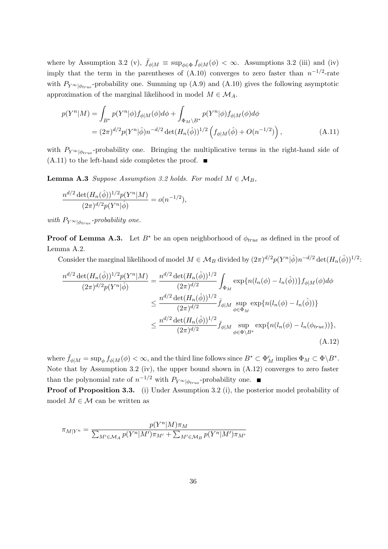where by Assumption 3.2 (v),  $\bar{f}_{\phi|M} \equiv \sup_{\phi \in \Phi} f_{\phi|M}(\phi) < \infty$ . Assumptions 3.2 (iii) and (iv) imply that the term in the parentheses of  $(A.10)$  converges to zero faster than  $n^{-1/2}$ -rate with  $P_{Y\infty|\phi_{true}}$ -probability one. Summing up (A.9) and (A.10) gives the following asymptotic approximation of the marginal likelihood in model  $M \in \mathcal{M}_A$ .

$$
p(Y^{n}|M) = \int_{B^{*}} p(Y^{n}|\phi) f_{\phi|M}(\phi) d\phi + \int_{\Phi_{M} \backslash B^{*}} p(Y^{n}|\phi) f_{\phi|M}(\phi) d\phi
$$
  
=  $(2\pi)^{d/2} p(Y^{n}|\hat{\phi}) n^{-d/2} \det(H_{n}(\hat{\phi}))^{1/2} (f_{\phi|M}(\hat{\phi}) + O(n^{-1/2}))$ , (A.11)

with  $P_{Y} \otimes_{\phi_{true}}$ -probability one. Bringing the multiplicative terms in the right-hand side of (A.11) to the left-hand side completes the proof.  $\blacksquare$ 

**Lemma A.3** Suppose Assumption 3.2 holds. For model  $M \in \mathcal{M}_B$ ,

$$
\frac{n^{d/2} \det(H_n(\hat{\phi}))^{1/2} p(Y^n|M)}{(2\pi)^{d/2} p(Y^n|\hat{\phi})} = o(n^{-1/2}),
$$

with  $P_{Y^{\infty}|\phi_{true}}$ -probability one.

**Proof of Lemma A.3.** Let  $B^*$  be an open neighborhood of  $\phi_{true}$  as defined in the proof of Lemma A.2.

Consider the marginal likelihood of model  $M \in \mathcal{M}_B$  divided by  $(2\pi)^{d/2}p(Y^n|\hat{\phi})n^{-d/2}\det(H_n(\hat{\phi}))^{1/2}$ :

$$
\frac{n^{d/2} \det(H_n(\hat{\phi}))^{1/2} p(Y^n | M)}{(2\pi)^{d/2} p(Y^n | \hat{\phi})} = \frac{n^{d/2} \det(H_n(\hat{\phi}))^{1/2}}{(2\pi)^{d/2}} \int_{\Phi_M} \exp\{n(l_n(\phi) - l_n(\hat{\phi}))\} f_{\phi|M}(\phi) d\phi
$$
  

$$
\leq \frac{n^{d/2} \det(H_n(\hat{\phi}))^{1/2}}{(2\pi)^{d/2}} \bar{f}_{\phi|M} \sup_{\phi \in \Phi_M} \exp\{n(l_n(\phi) - l_n(\hat{\phi}))\}
$$
  

$$
\leq \frac{n^{d/2} \det(H_n(\hat{\phi}))^{1/2}}{(2\pi)^{d/2}} \bar{f}_{\phi|M} \sup_{\phi \in \Phi \setminus B^*} \exp\{n(l_n(\phi) - l_n(\phi_{true}))\},
$$
  
(A.12)

where  $\bar{f}_{\phi|M} = \sup_{\phi} f_{\phi|M}(\phi) < \infty$ , and the third line follows since  $B^* \subset \Phi_M^c$  implies  $\Phi_M \subset \Phi \backslash B^*$ . Note that by Assumption 3.2 (iv), the upper bound shown in (A.12) converges to zero faster than the polynomial rate of  $n^{-1/2}$  with  $P_{Y\infty|\phi_{true}}$ -probability one.

Proof of Proposition 3.3. (i) Under Assumption 3.2 (i), the posterior model probability of model  $M \in \mathcal{M}$  can be written as

$$
\pi_{M|Y^n} = \frac{p(Y^n|M)\pi_M}{\sum_{M' \in \mathcal{M}_A} p(Y^n|M')\pi_{M'} + \sum_{M' \in \mathcal{M}_B} p(Y^n|M')\pi_{M'}}
$$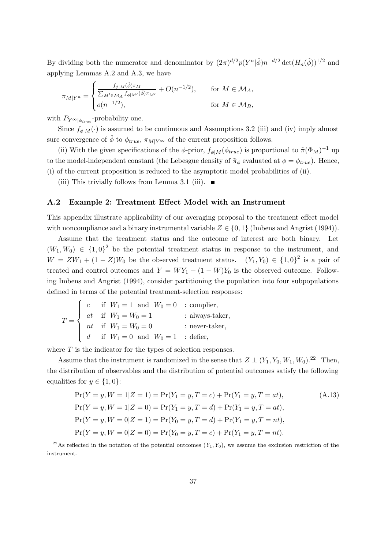By dividing both the numerator and denominator by  $(2\pi)^{d/2}p(Y^n|\hat{\phi})n^{-d/2}\det(H_n(\hat{\phi}))^{1/2}$  and applying Lemmas A.2 and A.3, we have

$$
\pi_{M|Y^n} = \begin{cases} \frac{f_{\phi|M}(\hat{\phi})\pi_M}{\sum_{M' \in \mathcal{M}_A} f_{\phi|M'}(\hat{\phi})\pi_{M'}} + O(n^{-1/2}), & \text{for } M \in \mathcal{M}_A, \\ o(n^{-1/2}), & \text{for } M \in \mathcal{M}_B, \end{cases}
$$

with  $P_{Y^{\infty}|\phi_{true}}$ -probability one.

Since  $f_{\phi|M}(\cdot)$  is assumed to be continuous and Assumptions 3.2 (iii) and (iv) imply almost sure convergence of  $\hat{\phi}$  to  $\phi_{true}$ ,  $\pi_{M|Y^{\infty}}$  of the current proposition follows.

(ii) With the given specifications of the  $\phi$ -prior,  $f_{\phi|M}(\phi_{true})$  is proportional to  $\tilde{\pi}(\Phi_M)^{-1}$  up to the model-independent constant (the Lebesgue density of  $\tilde{\pi}_{\phi}$  evaluated at  $\phi = \phi_{true}$ ). Hence, (i) of the current proposition is reduced to the asymptotic model probabilities of (ii).

(iii) This trivially follows from Lemma 3.1 (iii).  $\blacksquare$ 

#### A.2 Example 2: Treatment Effect Model with an Instrument

This appendix illustrate applicability of our averaging proposal to the treatment effect model with noncompliance and a binary instrumental variable  $Z \in \{0, 1\}$  (Imbens and Angrist (1994)).

Assume that the treatment status and the outcome of interest are both binary. Let  $(W_1, W_0) \in \{1, 0\}^2$  be the potential treatment status in response to the instrument, and  $W = ZW_1 + (1 - Z)W_0$  be the observed treatment status.  $(Y_1, Y_0) \in \{1, 0\}^2$  is a pair of treated and control outcomes and  $Y = WY_1 + (1 - W)Y_0$  is the observed outcome. Following Imbens and Angrist (1994), consider partitioning the population into four subpopulations defined in terms of the potential treatment-selection responses:

$$
T = \begin{cases} c & \text{if } W_1 = 1 \text{ and } W_0 = 0 & \text{: compiler,} \\ at & \text{if } W_1 = W_0 = 1 & \text{: always-taker,} \\ at & \text{if } W_1 = W_0 = 0 & \text{: never-taker,} \\ d & \text{if } W_1 = 0 \text{ and } W_0 = 1 & \text{: defer,} \end{cases}
$$

where  $T$  is the indicator for the types of selection responses.

Assume that the instrument is randomized in the sense that  $Z \perp (Y_1, Y_0, W_1, W_0).^{22}$  Then, the distribution of observables and the distribution of potential outcomes satisfy the following equalities for  $y \in \{1, 0\}$ :

$$
\Pr(Y = y, W = 1 | Z = 1) = \Pr(Y_1 = y, T = c) + \Pr(Y_1 = y, T = at),
$$
\n
$$
\Pr(Y = y, W = 1 | Z = 0) = \Pr(Y_1 = y, T = d) + \Pr(Y_1 = y, T = at),
$$
\n
$$
\Pr(Y = y, W = 0 | Z = 1) = \Pr(Y_0 = y, T = d) + \Pr(Y_1 = y, T = nt),
$$
\n
$$
\Pr(Y = y, W = 0 | Z = 0) = \Pr(Y_0 = y, T = c) + \Pr(Y_1 = y, T = nt).
$$
\n(A.13)

<sup>&</sup>lt;sup>22</sup>As reflected in the notation of the potential outcomes  $(Y_1, Y_0)$ , we assume the exclusion restriction of the instrument.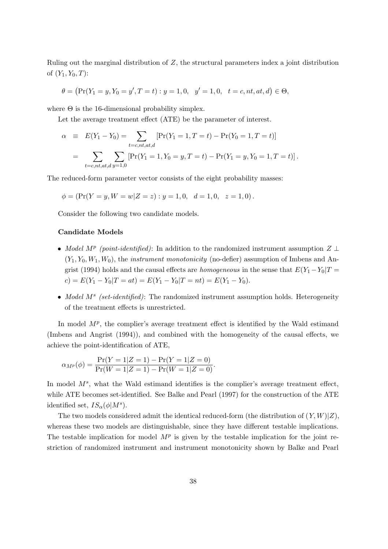Ruling out the marginal distribution of Z, the structural parameters index a joint distribution of  $(Y_1, Y_0, T)$ :

$$
\theta = (\Pr(Y_1 = y, Y_0 = y', T = t) : y = 1, 0, y' = 1, 0, t = c, nt, at, d) \in \Theta,
$$

where  $\Theta$  is the 16-dimensional probability simplex.

Let the average treatment effect (ATE) be the parameter of interest.

$$
\alpha \equiv E(Y_1 - Y_0) = \sum_{t = c, nt, at, d} [Pr(Y_1 = 1, T = t) - Pr(Y_0 = 1, T = t)]
$$
  
= 
$$
\sum_{t = c, nt, at, d} \sum_{y = 1, 0} [Pr(Y_1 = 1, Y_0 = y, T = t) - Pr(Y_1 = y, Y_0 = 1, T = t)].
$$

The reduced-form parameter vector consists of the eight probability masses:

$$
\phi = (\Pr(Y = y, W = w | Z = z) : y = 1, 0, d = 1, 0, z = 1, 0).
$$

Consider the following two candidate models.

## Candidate Models

- Model M<sup>p</sup> (point-identified): In addition to the randomized instrument assumption  $Z \perp$  $(Y_1, Y_0, W_1, W_0)$ , the *instrument monotonicity* (no-defier) assumption of Imbens and Angrist (1994) holds and the causal effects are *homogeneous* in the sense that  $E(Y_1 - Y_0)T =$  $c) = E(Y_1 - Y_0 | T = at) = E(Y_1 - Y_0 | T = nt) = E(Y_1 - Y_0).$
- Model  $M^s$  (set-identified): The randomized instrument assumption holds. Heterogeneity of the treatment effects is unrestricted.

In model  $M^p$ , the complier's average treatment effect is identified by the Wald estimand (Imbens and Angrist (1994)), and combined with the homogeneity of the causal effects, we achieve the point-identification of ATE,

$$
\alpha_{M^{p}}(\phi) = \frac{\Pr(Y=1|Z=1) - \Pr(Y=1|Z=0)}{\Pr(W=1|Z=1) - \Pr(W=1|Z=0)}.
$$

In model  $M^s$ , what the Wald estimand identifies is the complier's average treatment effect, while ATE becomes set-identified. See Balke and Pearl (1997) for the construction of the ATE identified set,  $IS_{\alpha}(\phi|M^s)$ .

The two models considered admit the identical reduced-form (the distribution of  $(Y, W)|Z$ ), whereas these two models are distinguishable, since they have different testable implications. The testable implication for model  $M<sup>p</sup>$  is given by the testable implication for the joint restriction of randomized instrument and instrument monotonicity shown by Balke and Pearl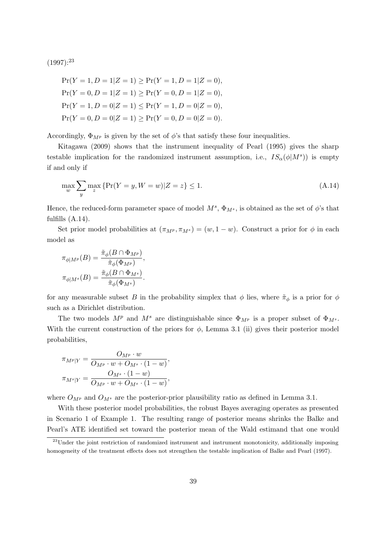$(1997):^{23}$ 

$$
Pr(Y = 1, D = 1 | Z = 1) \ge Pr(Y = 1, D = 1 | Z = 0),
$$
  
\n
$$
Pr(Y = 0, D = 1 | Z = 1) \ge Pr(Y = 0, D = 1 | Z = 0),
$$
  
\n
$$
Pr(Y = 1, D = 0 | Z = 1) \le Pr(Y = 1, D = 0 | Z = 0),
$$
  
\n
$$
Pr(Y = 0, D = 0 | Z = 1) \ge Pr(Y = 0, D = 0 | Z = 0).
$$

Accordingly,  $\Phi_{M^p}$  is given by the set of  $\phi$ 's that satisfy these four inequalities.

Kitagawa (2009) shows that the instrument inequality of Pearl (1995) gives the sharp testable implication for the randomized instrument assumption, i.e.,  $IS_{\alpha}(\phi|M^s)$  is empty if and only if

$$
\max_{w} \sum_{y} \max_{z} \{ \Pr(Y = y, W = w) | Z = z \} \le 1.
$$
\n(A.14)

Hence, the reduced-form parameter space of model  $M^s$ ,  $\Phi_{M^s}$ , is obtained as the set of  $\phi$ 's that fulfills  $(A.14)$ .

Set prior model probabilities at  $(\pi_{M^p}, \pi_{M^s}) = (w, 1 - w)$ . Construct a prior for  $\phi$  in each model as

$$
\pi_{\phi|M^p}(B) = \frac{\tilde{\pi}_{\phi}(B \cap \Phi_{M^p})}{\tilde{\pi}_{\phi}(\Phi_{M^p})},
$$

$$
\pi_{\phi|M^s}(B) = \frac{\tilde{\pi}_{\phi}(B \cap \Phi_{M^s})}{\tilde{\pi}_{\phi}(\Phi_{M^s})}.
$$

for any measurable subset B in the probability simplex that  $\phi$  lies, where  $\tilde{\pi}_{\phi}$  is a prior for  $\phi$ such as a Dirichlet distribution.

The two models  $M^p$  and  $M^s$  are distinguishable since  $\Phi_{M^p}$  is a proper subset of  $\Phi_{M^s}$ . With the current construction of the priors for  $\phi$ , Lemma 3.1 (ii) gives their posterior model probabilities,

$$
\pi_{M^{p}|Y} = \frac{O_{M^{p}} \cdot w}{O_{M^{p}} \cdot w + O_{M^{s}} \cdot (1 - w)},
$$

$$
\pi_{M^{s}|Y} = \frac{O_{M^{s}} \cdot (1 - w)}{O_{M^{p}} \cdot w + O_{M^{s}} \cdot (1 - w)},
$$

where  $O_{M^p}$  and  $O_{M^s}$  are the posterior-prior plausibility ratio as defined in Lemma 3.1.

With these posterior model probabilities, the robust Bayes averaging operates as presented in Scenario 1 of Example 1. The resulting range of posterior means shrinks the Balke and Pearl's ATE identified set toward the posterior mean of the Wald estimand that one would

<sup>&</sup>lt;sup>23</sup>Under the joint restriction of randomized instrument and instrument monotonicity, additionally imposing homogeneity of the treatment effects does not strengthen the testable implication of Balke and Pearl (1997).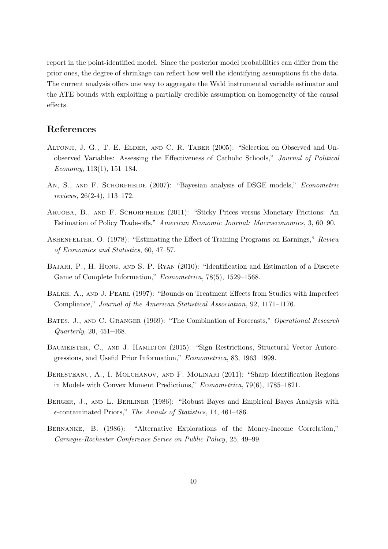report in the point-identified model. Since the posterior model probabilities can differ from the prior ones, the degree of shrinkage can reflect how well the identifying assumptions fit the data. The current analysis offers one way to aggregate the Wald instrumental variable estimator and the ATE bounds with exploiting a partially credible assumption on homogeneity of the causal effects.

## References

- Altonji, J. G., T. E. Elder, and C. R. Taber (2005): "Selection on Observed and Unobserved Variables: Assessing the Effectiveness of Catholic Schools," Journal of Political Economy, 113(1), 151–184.
- AN, S., AND F. SCHORFHEIDE (2007): "Bayesian analysis of DSGE models," Econometric reviews, 26(2-4), 113–172.
- Aruoba, B., and F. Schorfheide (2011): "Sticky Prices versus Monetary Frictions: An Estimation of Policy Trade-offs," American Economic Journal: Macroeconomics, 3, 60–90.
- ASHENFELTER, O. (1978): "Estimating the Effect of Training Programs on Earnings," Review of Economics and Statistics, 60, 47–57.
- Bajari, P., H. Hong, and S. P. Ryan (2010): "Identification and Estimation of a Discrete Game of Complete Information," Econometrica, 78(5), 1529–1568.
- BALKE, A., AND J. PEARL (1997): "Bounds on Treatment Effects from Studies with Imperfect Compliance," Journal of the American Statistical Association, 92, 1171–1176.
- BATES, J., AND C. GRANGER (1969): "The Combination of Forecasts," Operational Research Quarterly, 20, 451–468.
- BAUMEISTER, C., AND J. HAMILTON (2015): "Sign Restrictions, Structural Vector Autoregressions, and Useful Prior Information," Econometrica, 83, 1963–1999.
- Beresteanu, A., I. Molchanov, and F. Molinari (2011): "Sharp Identification Regions in Models with Convex Moment Predictions," Econometrica, 79(6), 1785–1821.
- BERGER, J., AND L. BERLINER (1986): "Robust Bayes and Empirical Bayes Analysis with -contaminated Priors," The Annals of Statistics, 14, 461–486.
- Bernanke, B. (1986): "Alternative Explorations of the Money-Income Correlation," Carnegie-Rochester Conference Series on Public Policy, 25, 49–99.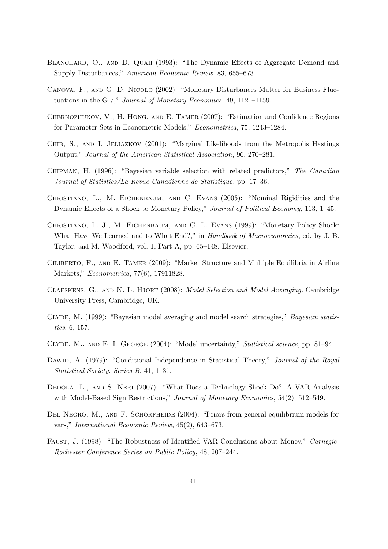- BLANCHARD, O., AND D. QUAH (1993): "The Dynamic Effects of Aggregate Demand and Supply Disturbances," American Economic Review, 83, 655–673.
- Canova, F., and G. D. Nicolo (2002): "Monetary Disturbances Matter for Business Fluctuations in the G-7," Journal of Monetary Economics, 49, 1121–1159.
- Chernozhukov, V., H. Hong, and E. Tamer (2007): "Estimation and Confidence Regions for Parameter Sets in Econometric Models," Econometrica, 75, 1243–1284.
- CHIB, S., AND I. JELIAZKOV (2001): "Marginal Likelihoods from the Metropolis Hastings Output," Journal of the American Statistical Association, 96, 270–281.
- Chipman, H. (1996): "Bayesian variable selection with related predictors," The Canadian Journal of Statistics/La Revue Canadienne de Statistique, pp. 17–36.
- Christiano, L., M. Eichenbaum, and C. Evans (2005): "Nominal Rigidities and the Dynamic Effects of a Shock to Monetary Policy," Journal of Political Economy, 113, 1–45.
- Christiano, L. J., M. Eichenbaum, and C. L. Evans (1999): "Monetary Policy Shock: What Have We Learned and to What End?," in *Handbook of Macroeconomics*, ed. by J. B. Taylor, and M. Woodford, vol. 1, Part A, pp. 65–148. Elsevier.
- Ciliberto, F., and E. Tamer (2009): "Market Structure and Multiple Equilibria in Airline Markets," Econometrica, 77(6), 17911828.
- Claeskens, G., and N. L. Hjort (2008): Model Selection and Model Averaging. Cambridge University Press, Cambridge, UK.
- CLYDE, M. (1999): "Bayesian model averaging and model search strategies," Bayesian statistics, 6, 157.
- Clyde, M., and E. I. George (2004): "Model uncertainty," Statistical science, pp. 81–94.
- DAWID, A. (1979): "Conditional Independence in Statistical Theory," *Journal of the Royal* Statistical Society. Series B, 41, 1–31.
- DEDOLA, L., AND S. NERI (2007): "What Does a Technology Shock Do? A VAR Analysis with Model-Based Sign Restrictions," Journal of Monetary Economics, 54(2), 512–549.
- DEL NEGRO, M., AND F. SCHORFHEIDE (2004): "Priors from general equilibrium models for vars," International Economic Review, 45(2), 643–673.
- Faust, J. (1998): "The Robustness of Identified VAR Conclusions about Money," Carnegie-Rochester Conference Series on Public Policy, 48, 207–244.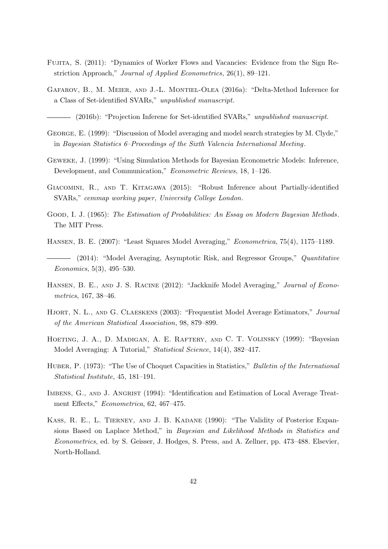- Fujita, S. (2011): "Dynamics of Worker Flows and Vacancies: Evidence from the Sign Restriction Approach," Journal of Applied Econometrics, 26(1), 89–121.
- Gafarov, B., M. Meier, and J.-L. Montiel-Olea (2016a): "Delta-Method Inference for a Class of Set-identified SVARs," unpublished manuscript.

(2016b): "Projection Inferene for Set-identified SVARs," unpublished manuscript.

- GEORGE, E. (1999): "Discussion of Model averaging and model search strategies by M. Clyde," in Bayesian Statistics 6–Proceedings of the Sixth Valencia International Meeting.
- Geweke, J. (1999): "Using Simulation Methods for Bayesian Econometric Models: Inference, Development, and Communication," Econometric Reviews, 18, 1–126.
- Giacomini, R., and T. Kitagawa (2015): "Robust Inference about Partially-identified SVARs," cemmap working paper, University College London.
- GOOD, I. J. (1965): The Estimation of Probabilities: An Essay on Modern Bayesian Methods. The MIT Press.
- Hansen, B. E. (2007): "Least Squares Model Averaging," Econometrica, 75(4), 1175–1189.
- (2014): "Model Averaging, Asymptotic Risk, and Regressor Groups," *Quantitative* Economics, 5(3), 495–530.
- HANSEN, B. E., AND J. S. RACINE (2012): "Jackknife Model Averaging," Journal of Econometrics, 167, 38–46.
- HJORT, N. L., AND G. CLAESKENS (2003): "Frequentist Model Average Estimators," Journal of the American Statistical Association, 98, 879–899.
- HOETING, J. A., D. MADIGAN, A. E. RAFTERY, AND C. T. VOLINSKY (1999): "Bayesian Model Averaging: A Tutorial," Statistical Science, 14(4), 382–417.
- HUBER, P. (1973): "The Use of Choquet Capacities in Statistics," Bulletin of the International Statistical Institute, 45, 181–191.
- IMBENS, G., AND J. ANGRIST (1994): "Identification and Estimation of Local Average Treatment Effects," Econometrica, 62, 467–475.
- KASS, R. E., L. TIERNEY, AND J. B. KADANE (1990): "The Validity of Posterior Expansions Based on Laplace Method," in Bayesian and Likelihood Methods in Statistics and Econometrics, ed. by S. Geisser, J. Hodges, S. Press, and A. Zellner, pp. 473–488. Elsevier, North-Holland.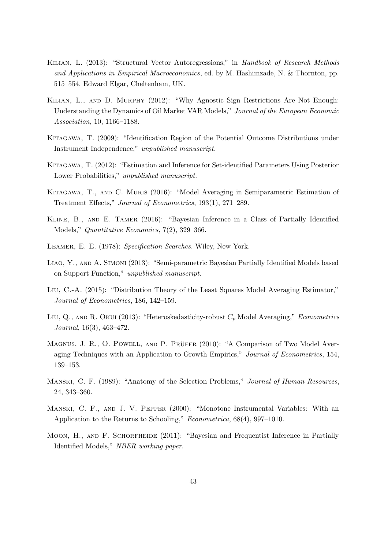- Kilian, L. (2013): "Structural Vector Autoregressions," in Handbook of Research Methods and Applications in Empirical Macroeconomics, ed. by M. Hashimzade, N. & Thornton, pp. 515–554. Edward Elgar, Cheltenham, UK.
- Kilian, L., and D. Murphy (2012): "Why Agnostic Sign Restrictions Are Not Enough: Understanding the Dynamics of Oil Market VAR Models," Journal of the European Economic Association, 10, 1166–1188.
- Kitagawa, T. (2009): "Identification Region of the Potential Outcome Distributions under Instrument Independence," unpublished manuscript.
- Kitagawa, T. (2012): "Estimation and Inference for Set-identified Parameters Using Posterior Lower Probabilities," unpublished manuscript.
- Kitagawa, T., and C. Muris (2016): "Model Averaging in Semiparametric Estimation of Treatment Effects," Journal of Econometrics, 193(1), 271–289.
- Kline, B., and E. Tamer (2016): "Bayesian Inference in a Class of Partially Identified Models," Quantitative Economics, 7(2), 329–366.
- LEAMER, E. E. (1978): Specification Searches. Wiley, New York.
- Liao, Y., and A. Simoni (2013): "Semi-parametric Bayesian Partially Identified Models based on Support Function," unpublished manuscript.
- Liu, C.-A. (2015): "Distribution Theory of the Least Squares Model Averaging Estimator," Journal of Econometrics, 186, 142–159.
- LIU, Q., AND R. OKUI (2013): "Heteroskedasticity-robust  $C_p$  Model Averaging," Econometrics Journal, 16(3), 463–472.
- MAGNUS, J. R., O. POWELL, AND P. PRÜFER (2010): "A Comparison of Two Model Averaging Techniques with an Application to Growth Empirics," Journal of Econometrics, 154, 139–153.
- Manski, C. F. (1989): "Anatomy of the Selection Problems," Journal of Human Resources, 24, 343–360.
- Manski, C. F., and J. V. Pepper (2000): "Monotone Instrumental Variables: With an Application to the Returns to Schooling," Econometrica, 68(4), 997–1010.
- MOON, H., AND F. SCHORFHEIDE (2011): "Bayesian and Frequentist Inference in Partially Identified Models," NBER working paper.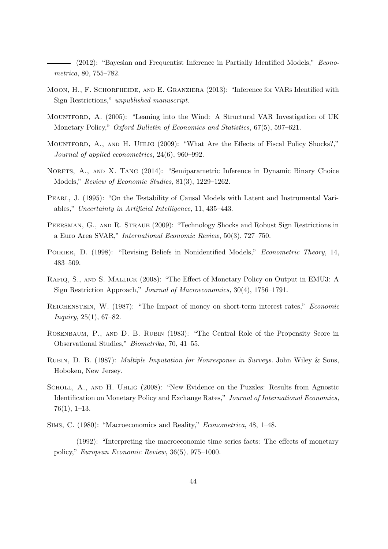(2012): "Bayesian and Frequentist Inference in Partially Identified Models," Econometrica, 80, 755–782.

- MOON, H., F. SCHORFHEIDE, AND E. GRANZIERA (2013): "Inference for VARs Identified with Sign Restrictions," unpublished manuscript.
- Mountford, A. (2005): "Leaning into the Wind: A Structural VAR Investigation of UK Monetary Policy," Oxford Bulletin of Economics and Statistics, 67(5), 597–621.
- MOUNTFORD, A., AND H. UHLIG (2009): "What Are the Effects of Fiscal Policy Shocks?," Journal of applied econometrics, 24(6), 960–992.
- NORETS, A., AND X. TANG (2014): "Semiparametric Inference in Dynamic Binary Choice Models," Review of Economic Studies, 81(3), 1229–1262.
- Pearl, J. (1995): "On the Testability of Causal Models with Latent and Instrumental Variables," Uncertainty in Artificial Intelligence, 11, 435–443.
- PEERSMAN, G., AND R. STRAUB (2009): "Technology Shocks and Robust Sign Restrictions in a Euro Area SVAR," International Economic Review, 50(3), 727–750.
- POIRIER, D. (1998): "Revising Beliefs in Nonidentified Models," Econometric Theory, 14, 483–509.
- Rafiq, S., and S. Mallick (2008): "The Effect of Monetary Policy on Output in EMU3: A Sign Restriction Approach," Journal of Macroeconomics, 30(4), 1756–1791.
- REICHENSTEIN, W. (1987): "The Impact of money on short-term interest rates," *Economic* Inquiry, 25(1), 67–82.
- Rosenbaum, P., and D. B. Rubin (1983): "The Central Role of the Propensity Score in Observational Studies," Biometrika, 70, 41–55.
- Rubin, D. B. (1987): Multiple Imputation for Nonresponse in Surveys. John Wiley & Sons, Hoboken, New Jersey.
- Scholl, A., and H. Uhlig (2008): "New Evidence on the Puzzles: Results from Agnostic Identification on Monetary Policy and Exchange Rates," Journal of International Economics,  $76(1), 1-13.$
- Sims, C. (1980): "Macroeconomics and Reality," Econometrica, 48, 1–48.
- (1992): "Interpreting the macroeconomic time series facts: The effects of monetary policy," European Economic Review, 36(5), 975–1000.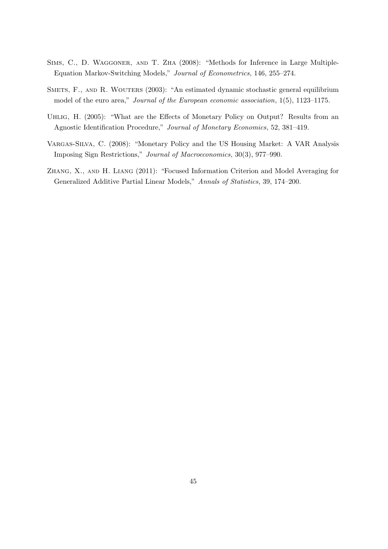- SIMS, C., D. WAGGONER, AND T. ZHA (2008): "Methods for Inference in Large Multiple-Equation Markov-Switching Models," Journal of Econometrics, 146, 255–274.
- SMETS, F., AND R. WOUTERS (2003): "An estimated dynamic stochastic general equilibrium model of the euro area," Journal of the European economic association, 1(5), 1123–1175.
- UHLIG, H. (2005): "What are the Effects of Monetary Policy on Output? Results from an Agnostic Identification Procedure," Journal of Monetary Economics, 52, 381–419.
- Vargas-Silva, C. (2008): "Monetary Policy and the US Housing Market: A VAR Analysis Imposing Sign Restrictions," Journal of Macroeconomics, 30(3), 977–990.
- Zhang, X., and H. Liang (2011): "Focused Information Criterion and Model Averaging for Generalized Additive Partial Linear Models," Annals of Statistics, 39, 174–200.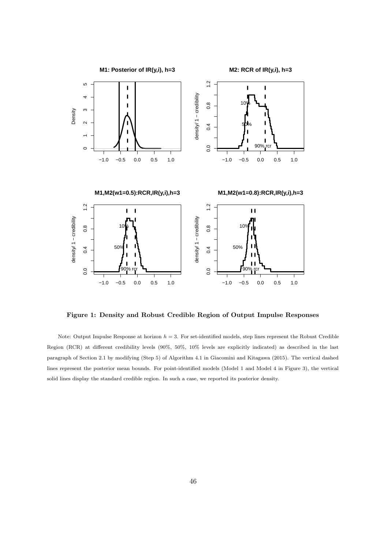

Figure 1: Density and Robust Credible Region of Output Impulse Responses

Note: Output Impulse Response at horizon  $h = 3$ . For set-identified models, step lines represent the Robust Credible Region (RCR) at different credibility levels (90%, 50%, 10% levels are explicitly indicated) as described in the last paragraph of Section 2.1 by modifying (Step 5) of Algorithm 4.1 in Giacomini and Kitagawa (2015). The vertical dashed lines represent the posterior mean bounds. For point-identified models (Model 1 and Model 4 in Figure 3), the vertical solid lines display the standard credible region. In such a case, we reported its posterior density.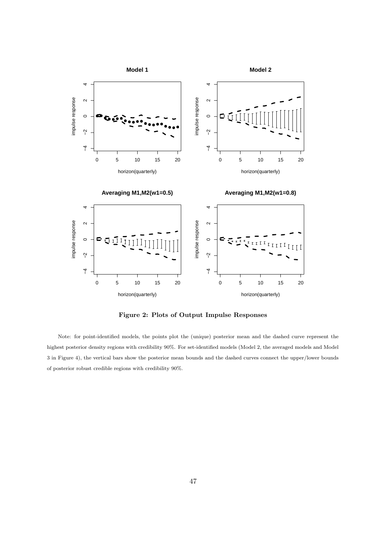

Figure 2: Plots of Output Impulse Responses

Note: for point-identified models, the points plot the (unique) posterior mean and the dashed curve represent the highest posterior density regions with credibility 90%. For set-identified models (Model 2, the averaged models and Model 3 in Figure 4), the vertical bars show the posterior mean bounds and the dashed curves connect the upper/lower bounds of posterior robust credible regions with credibility 90%.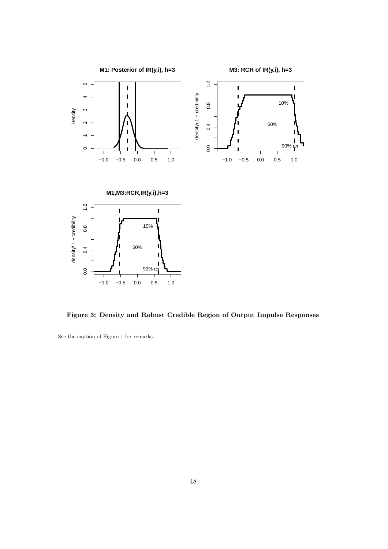

Figure 3: Density and Robust Credible Region of Output Impulse Responses

See the caption of Figure 1 for remarks.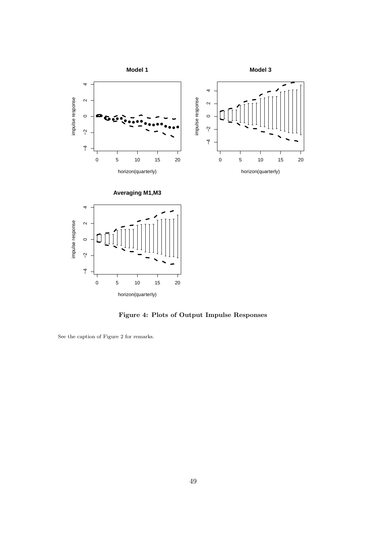

Figure 4: Plots of Output Impulse Responses

See the caption of Figure 2 for remarks.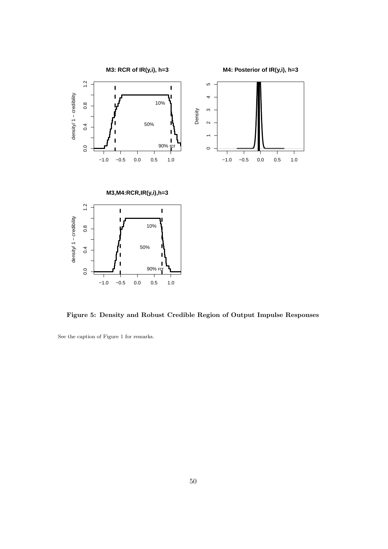

Figure 5: Density and Robust Credible Region of Output Impulse Responses

See the caption of Figure 1 for remarks.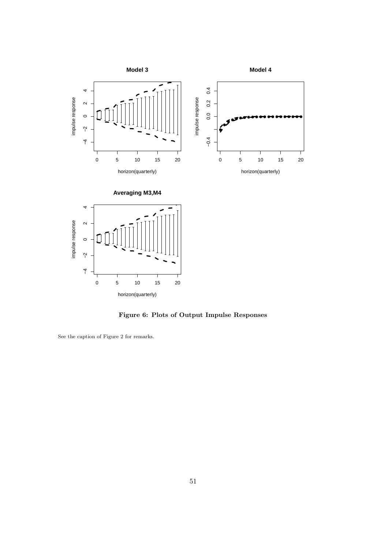

Figure 6: Plots of Output Impulse Responses

See the caption of Figure 2 for remarks.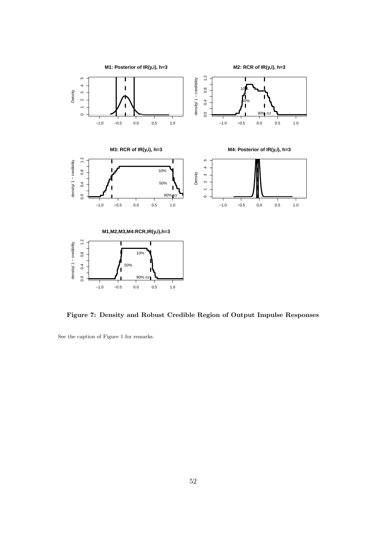

Figure 7: Density and Robust Credible Region of Output Impulse Responses

See the caption of Figure 1 for remarks.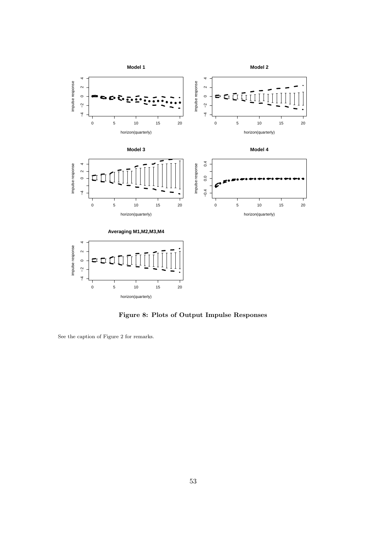

Figure 8: Plots of Output Impulse Responses

See the caption of Figure 2 for remarks.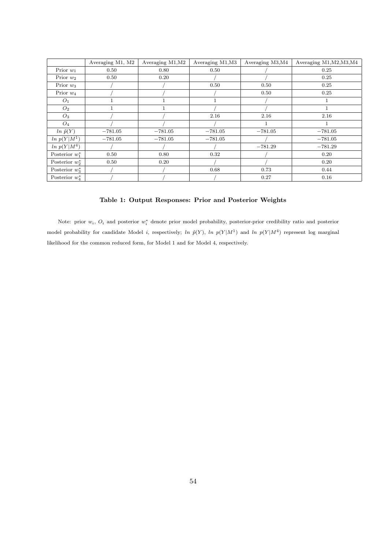|                   | Averaging M1, M2 | Averaging M1, M2 | Averaging M1, M3 | Averaging M3, M4 | Averaging M1, M2, M3, M4 |  |
|-------------------|------------------|------------------|------------------|------------------|--------------------------|--|
| Prior $w_1$       | 0.50             | 0.80             | 0.50             |                  | 0.25                     |  |
| Prior $w_2$       | 0.50             | 0.20             |                  |                  | 0.25                     |  |
| Prior $w_3$       |                  |                  | 0.50             | 0.50             | 0.25                     |  |
| Prior $w_4$       |                  |                  |                  | 0.50             | 0.25                     |  |
| $O_1$             |                  |                  |                  |                  |                          |  |
| O <sub>2</sub>    |                  |                  |                  |                  |                          |  |
| $O_3$             |                  |                  | 2.16             | 2.16             | 2.16                     |  |
| $O_4$             |                  |                  |                  | 1                |                          |  |
| $ln \tilde{p}(Y)$ | $-781.05$        | $-781.05$        | $-781.05$        | $-781.05$        | $-781.05$                |  |
| $\ln p(Y M^1)$    | $-781.05$        | $-781.05$        | $-781.05$        |                  | $-781.05$                |  |
| $\ln p(Y M^4)$    |                  |                  |                  | $-781.29$        | $-781.29$                |  |
| Posterior $w_1^*$ | 0.50             | 0.80             | 0.32             |                  | 0.20                     |  |
| Posterior $w_2^*$ | 0.50             | 0.20             |                  |                  | 0.20                     |  |
| Posterior $w_2^*$ |                  |                  | 0.68             | 0.73             | 0.44                     |  |
| Posterior $w_4^*$ |                  |                  |                  | 0.27             | 0.16                     |  |

## Table 1: Output Responses: Prior and Posterior Weights

Note: prior  $w_i$ ,  $O_i$  and posterior  $w_i^*$  denote prior model probability, posterior-prior credibility ratio and posterior model probability for candidate Model *i*, respectively; ln  $\tilde{p}(Y)$ , ln  $p(Y|M^1)$  and ln  $p(Y|M^4)$  represent log marginal likelihood for the common reduced form, for Model 1 and for Model 4, respectively.